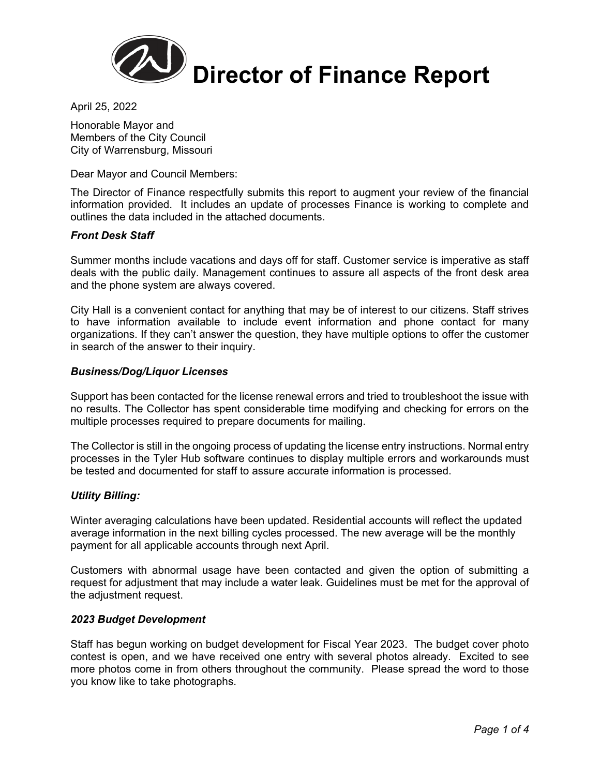

April 25, 2022

Honorable Mayor and Members of the City Council City of Warrensburg, Missouri

Dear Mayor and Council Members:

The Director of Finance respectfully submits this report to augment your review of the financial information provided. It includes an update of processes Finance is working to complete and outlines the data included in the attached documents.

# *Front Desk Staff*

Summer months include vacations and days off for staff. Customer service is imperative as staff deals with the public daily. Management continues to assure all aspects of the front desk area and the phone system are always covered.

City Hall is a convenient contact for anything that may be of interest to our citizens. Staff strives to have information available to include event information and phone contact for many organizations. If they can't answer the question, they have multiple options to offer the customer in search of the answer to their inquiry.

# *Business/Dog/Liquor Licenses*

Support has been contacted for the license renewal errors and tried to troubleshoot the issue with no results. The Collector has spent considerable time modifying and checking for errors on the multiple processes required to prepare documents for mailing.

The Collector is still in the ongoing process of updating the license entry instructions. Normal entry processes in the Tyler Hub software continues to display multiple errors and workarounds must be tested and documented for staff to assure accurate information is processed.

# *Utility Billing:*

Winter averaging calculations have been updated. Residential accounts will reflect the updated average information in the next billing cycles processed. The new average will be the monthly payment for all applicable accounts through next April.

Customers with abnormal usage have been contacted and given the option of submitting a request for adjustment that may include a water leak. Guidelines must be met for the approval of the adjustment request.

# *2023 Budget Development*

Staff has begun working on budget development for Fiscal Year 2023. The budget cover photo contest is open, and we have received one entry with several photos already. Excited to see more photos come in from others throughout the community. Please spread the word to those you know like to take photographs.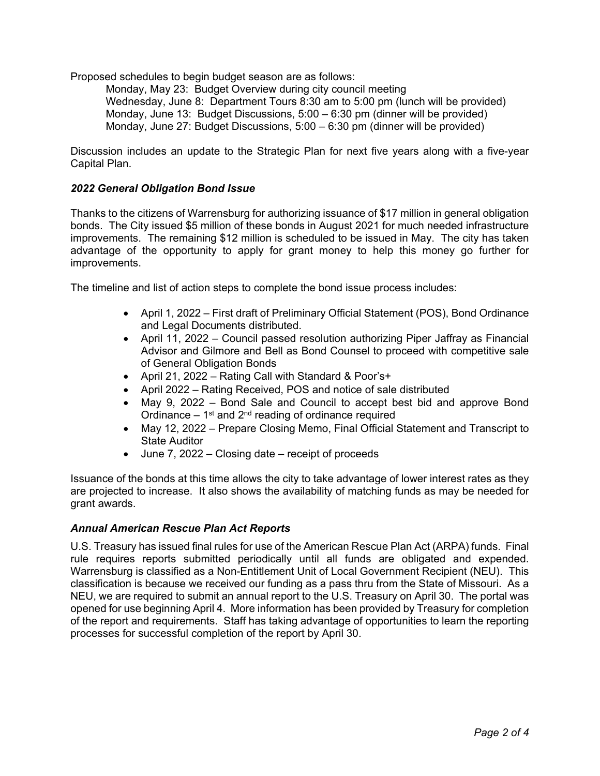Proposed schedules to begin budget season are as follows:

Monday, May 23: Budget Overview during city council meeting Wednesday, June 8: Department Tours 8:30 am to 5:00 pm (lunch will be provided) Monday, June 13: Budget Discussions, 5:00 – 6:30 pm (dinner will be provided) Monday, June 27: Budget Discussions, 5:00 – 6:30 pm (dinner will be provided)

Discussion includes an update to the Strategic Plan for next five years along with a five-year Capital Plan.

# *2022 General Obligation Bond Issue*

Thanks to the citizens of Warrensburg for authorizing issuance of \$17 million in general obligation bonds. The City issued \$5 million of these bonds in August 2021 for much needed infrastructure improvements. The remaining \$12 million is scheduled to be issued in May. The city has taken advantage of the opportunity to apply for grant money to help this money go further for improvements.

The timeline and list of action steps to complete the bond issue process includes:

- April 1, 2022 First draft of Preliminary Official Statement (POS), Bond Ordinance and Legal Documents distributed.
- April 11, 2022 Council passed resolution authorizing Piper Jaffray as Financial Advisor and Gilmore and Bell as Bond Counsel to proceed with competitive sale of General Obligation Bonds
- April 21, 2022 Rating Call with Standard & Poor's+
- April 2022 Rating Received, POS and notice of sale distributed
- May 9, 2022 Bond Sale and Council to accept best bid and approve Bond Ordinance  $-1$ <sup>st</sup> and  $2<sup>nd</sup>$  reading of ordinance required
- May 12, 2022 Prepare Closing Memo, Final Official Statement and Transcript to State Auditor
- June 7, 2022 Closing date receipt of proceeds

Issuance of the bonds at this time allows the city to take advantage of lower interest rates as they are projected to increase. It also shows the availability of matching funds as may be needed for grant awards.

# *Annual American Rescue Plan Act Reports*

U.S. Treasury has issued final rules for use of the American Rescue Plan Act (ARPA) funds. Final rule requires reports submitted periodically until all funds are obligated and expended. Warrensburg is classified as a Non-Entitlement Unit of Local Government Recipient (NEU). This classification is because we received our funding as a pass thru from the State of Missouri. As a NEU, we are required to submit an annual report to the U.S. Treasury on April 30. The portal was opened for use beginning April 4. More information has been provided by Treasury for completion of the report and requirements. Staff has taking advantage of opportunities to learn the reporting processes for successful completion of the report by April 30.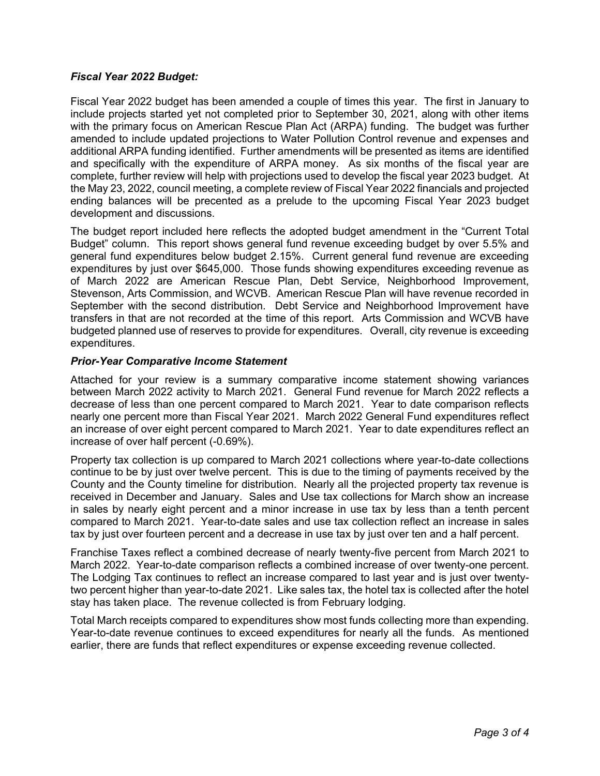# *Fiscal Year 2022 Budget:*

Fiscal Year 2022 budget has been amended a couple of times this year. The first in January to include projects started yet not completed prior to September 30, 2021, along with other items with the primary focus on American Rescue Plan Act (ARPA) funding. The budget was further amended to include updated projections to Water Pollution Control revenue and expenses and additional ARPA funding identified. Further amendments will be presented as items are identified and specifically with the expenditure of ARPA money. As six months of the fiscal year are complete, further review will help with projections used to develop the fiscal year 2023 budget. At the May 23, 2022, council meeting, a complete review of Fiscal Year 2022 financials and projected ending balances will be precented as a prelude to the upcoming Fiscal Year 2023 budget development and discussions.

The budget report included here reflects the adopted budget amendment in the "Current Total Budget" column. This report shows general fund revenue exceeding budget by over 5.5% and general fund expenditures below budget 2.15%. Current general fund revenue are exceeding expenditures by just over \$645,000. Those funds showing expenditures exceeding revenue as of March 2022 are American Rescue Plan, Debt Service, Neighborhood Improvement, Stevenson, Arts Commission, and WCVB. American Rescue Plan will have revenue recorded in September with the second distribution. Debt Service and Neighborhood Improvement have transfers in that are not recorded at the time of this report. Arts Commission and WCVB have budgeted planned use of reserves to provide for expenditures. Overall, city revenue is exceeding expenditures.

# *Prior-Year Comparative Income Statement*

Attached for your review is a summary comparative income statement showing variances between March 2022 activity to March 2021. General Fund revenue for March 2022 reflects a decrease of less than one percent compared to March 2021. Year to date comparison reflects nearly one percent more than Fiscal Year 2021. March 2022 General Fund expenditures reflect an increase of over eight percent compared to March 2021. Year to date expenditures reflect an increase of over half percent (-0.69%).

Property tax collection is up compared to March 2021 collections where year-to-date collections continue to be by just over twelve percent. This is due to the timing of payments received by the County and the County timeline for distribution. Nearly all the projected property tax revenue is received in December and January. Sales and Use tax collections for March show an increase in sales by nearly eight percent and a minor increase in use tax by less than a tenth percent compared to March 2021. Year-to-date sales and use tax collection reflect an increase in sales tax by just over fourteen percent and a decrease in use tax by just over ten and a half percent.

Franchise Taxes reflect a combined decrease of nearly twenty-five percent from March 2021 to March 2022. Year-to-date comparison reflects a combined increase of over twenty-one percent. The Lodging Tax continues to reflect an increase compared to last year and is just over twentytwo percent higher than year-to-date 2021. Like sales tax, the hotel tax is collected after the hotel stay has taken place. The revenue collected is from February lodging.

Total March receipts compared to expenditures show most funds collecting more than expending. Year-to-date revenue continues to exceed expenditures for nearly all the funds. As mentioned earlier, there are funds that reflect expenditures or expense exceeding revenue collected.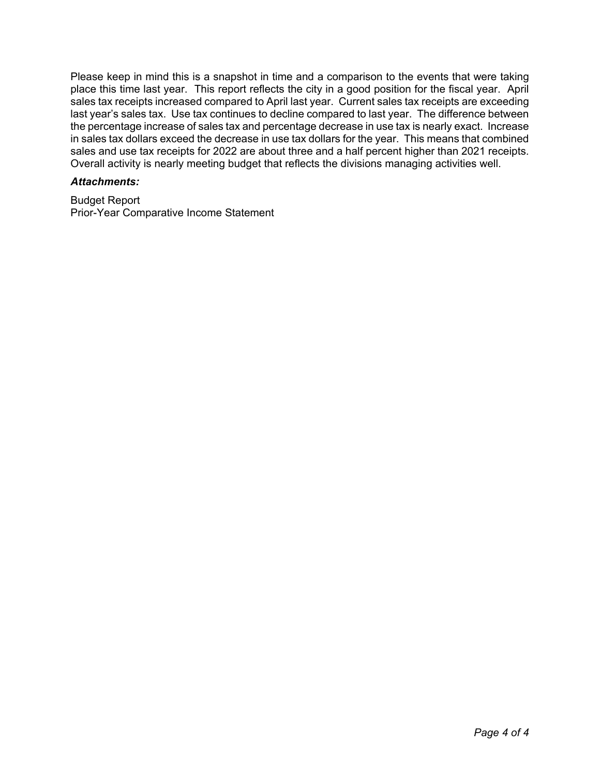Please keep in mind this is a snapshot in time and a comparison to the events that were taking place this time last year. This report reflects the city in a good position for the fiscal year. April sales tax receipts increased compared to April last year. Current sales tax receipts are exceeding last year's sales tax. Use tax continues to decline compared to last year. The difference between the percentage increase of sales tax and percentage decrease in use tax is nearly exact. Increase in sales tax dollars exceed the decrease in use tax dollars for the year. This means that combined sales and use tax receipts for 2022 are about three and a half percent higher than 2021 receipts. Overall activity is nearly meeting budget that reflects the divisions managing activities well.

# *Attachments:*

Budget Report Prior-Year Comparative Income Statement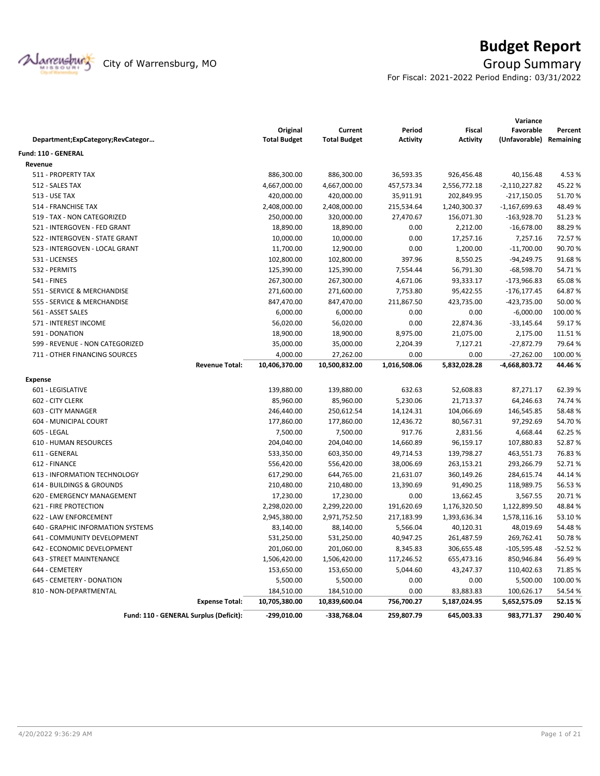

# **Budget Report**

For Fiscal: 2021-2022 Period Ending: 03/31/2022

|                                        |                     |                     |                 |                 | Variance        |           |
|----------------------------------------|---------------------|---------------------|-----------------|-----------------|-----------------|-----------|
|                                        | Original            | Current             | Period          | <b>Fiscal</b>   | Favorable       | Percent   |
| Department;ExpCategory;RevCategor      | <b>Total Budget</b> | <b>Total Budget</b> | <b>Activity</b> | <b>Activity</b> | (Unfavorable)   | Remaining |
| <b>Fund: 110 - GENERAL</b>             |                     |                     |                 |                 |                 |           |
| Revenue                                |                     |                     |                 |                 |                 |           |
| 511 - PROPERTY TAX                     | 886,300.00          | 886,300.00          | 36,593.35       | 926,456.48      | 40,156.48       | 4.53%     |
| 512 - SALES TAX                        | 4,667,000.00        | 4,667,000.00        | 457,573.34      | 2,556,772.18    | $-2,110,227.82$ | 45.22%    |
| <b>513 - USE TAX</b>                   | 420,000.00          | 420,000.00          | 35,911.91       | 202,849.95      | $-217,150.05$   | 51.70%    |
| 514 - FRANCHISE TAX                    | 2,408,000.00        | 2,408,000.00        | 215,534.64      | 1,240,300.37    | $-1,167,699.63$ | 48.49%    |
| 519 - TAX - NON CATEGORIZED            | 250,000.00          | 320,000.00          | 27,470.67       | 156,071.30      | $-163,928.70$   | 51.23%    |
| 521 - INTERGOVEN - FED GRANT           | 18,890.00           | 18,890.00           | 0.00            | 2,212.00        | $-16,678.00$    | 88.29%    |
| 522 - INTERGOVEN - STATE GRANT         | 10,000.00           | 10,000.00           | 0.00            | 17,257.16       | 7,257.16        | 72.57%    |
| 523 - INTERGOVEN - LOCAL GRANT         | 11,700.00           | 12,900.00           | 0.00            | 1,200.00        | $-11,700.00$    | 90.70%    |
| 531 - LICENSES                         | 102,800.00          | 102,800.00          | 397.96          | 8,550.25        | $-94,249.75$    | 91.68%    |
| 532 - PERMITS                          | 125,390.00          | 125,390.00          | 7,554.44        | 56,791.30       | $-68,598.70$    | 54.71%    |
| 541 - FINES                            | 267,300.00          | 267,300.00          | 4,671.06        | 93,333.17       | $-173,966.83$   | 65.08%    |
| 551 - SERVICE & MERCHANDISE            | 271,600.00          | 271,600.00          | 7,753.80        | 95,422.55       | $-176, 177.45$  | 64.87%    |
| 555 - SERVICE & MERCHANDISE            | 847,470.00          | 847,470.00          | 211,867.50      | 423,735.00      | -423,735.00     | 50.00 %   |
| 561 - ASSET SALES                      | 6,000.00            | 6,000.00            | 0.00            | 0.00            | $-6,000.00$     | 100.00%   |
| 571 - INTEREST INCOME                  | 56,020.00           | 56,020.00           | 0.00            | 22,874.36       | $-33,145.64$    | 59.17%    |
| 591 - DONATION                         | 18,900.00           | 18,900.00           | 8,975.00        | 21,075.00       | 2,175.00        | 11.51%    |
| 599 - REVENUE - NON CATEGORIZED        | 35,000.00           | 35,000.00           | 2,204.39        | 7,127.21        | $-27,872.79$    | 79.64%    |
| 711 - OTHER FINANCING SOURCES          | 4,000.00            | 27,262.00           | 0.00            | 0.00            | $-27,262.00$    | 100.00%   |
| <b>Revenue Total:</b>                  | 10,406,370.00       | 10,500,832.00       | 1,016,508.06    | 5,832,028.28    | -4,668,803.72   | 44.46%    |
| <b>Expense</b>                         |                     |                     |                 |                 |                 |           |
| 601 - LEGISLATIVE                      | 139,880.00          | 139,880.00          | 632.63          | 52,608.83       | 87,271.17       | 62.39%    |
| 602 - CITY CLERK                       | 85,960.00           | 85,960.00           | 5,230.06        | 21,713.37       | 64,246.63       | 74.74 %   |
| 603 - CITY MANAGER                     | 246,440.00          | 250,612.54          | 14,124.31       | 104,066.69      | 146,545.85      | 58.48%    |
| 604 - MUNICIPAL COURT                  | 177,860.00          | 177,860.00          | 12,436.72       | 80,567.31       | 97,292.69       | 54.70%    |
| 605 - LEGAL                            | 7,500.00            | 7,500.00            | 917.76          | 2,831.56        | 4,668.44        | 62.25 %   |
| 610 - HUMAN RESOURCES                  | 204,040.00          | 204,040.00          | 14,660.89       | 96,159.17       | 107,880.83      | 52.87%    |
| 611 - GENERAL                          | 533,350.00          | 603,350.00          | 49,714.53       | 139,798.27      | 463,551.73      | 76.83%    |
| 612 - FINANCE                          | 556,420.00          | 556,420.00          | 38,006.69       | 263,153.21      | 293,266.79      | 52.71%    |
| 613 - INFORMATION TECHNOLOGY           | 617,290.00          | 644,765.00          | 21,631.07       | 360,149.26      | 284,615.74      | 44.14%    |
| 614 - BUILDINGS & GROUNDS              | 210,480.00          | 210,480.00          | 13,390.69       | 91,490.25       | 118,989.75      | 56.53%    |
| 620 - EMERGENCY MANAGEMENT             | 17,230.00           | 17,230.00           | 0.00            | 13,662.45       | 3,567.55        | 20.71%    |
| <b>621 - FIRE PROTECTION</b>           | 2,298,020.00        | 2,299,220.00        | 191,620.69      | 1,176,320.50    | 1,122,899.50    | 48.84%    |
| 622 - LAW ENFORCEMENT                  | 2,945,380.00        | 2,971,752.50        | 217,183.99      | 1,393,636.34    | 1,578,116.16    | 53.10%    |
| 640 - GRAPHIC INFORMATION SYSTEMS      | 83,140.00           | 88,140.00           | 5,566.04        | 40,120.31       | 48,019.69       | 54.48%    |
| 641 - COMMUNITY DEVELOPMENT            | 531,250.00          | 531,250.00          | 40,947.25       | 261,487.59      | 269,762.41      | 50.78%    |
| 642 - ECONOMIC DEVELOPMENT             | 201,060.00          | 201,060.00          | 8,345.83        | 306,655.48      | $-105,595.48$   | $-52.52%$ |
| 643 - STREET MAINTENANCE               | 1,506,420.00        | 1,506,420.00        | 117,246.52      | 655,473.16      | 850,946.84      | 56.49%    |
| 644 - CEMETERY                         | 153,650.00          | 153,650.00          | 5,044.60        | 43,247.37       | 110,402.63      | 71.85%    |
| 645 - CEMETERY - DONATION              | 5,500.00            | 5,500.00            | 0.00            | 0.00            | 5,500.00        | 100.00%   |
| 810 - NON-DEPARTMENTAL                 | 184,510.00          | 184,510.00          | 0.00            | 83,883.83       | 100,626.17      | 54.54 %   |
| <b>Expense Total:</b>                  | 10,705,380.00       | 10,839,600.04       | 756,700.27      | 5,187,024.95    | 5,652,575.09    | 52.15%    |
| Fund: 110 - GENERAL Surplus (Deficit): | $-299,010.00$       | -338,768.04         | 259,807.79      | 645,003.33      | 983,771.37      | 290.40%   |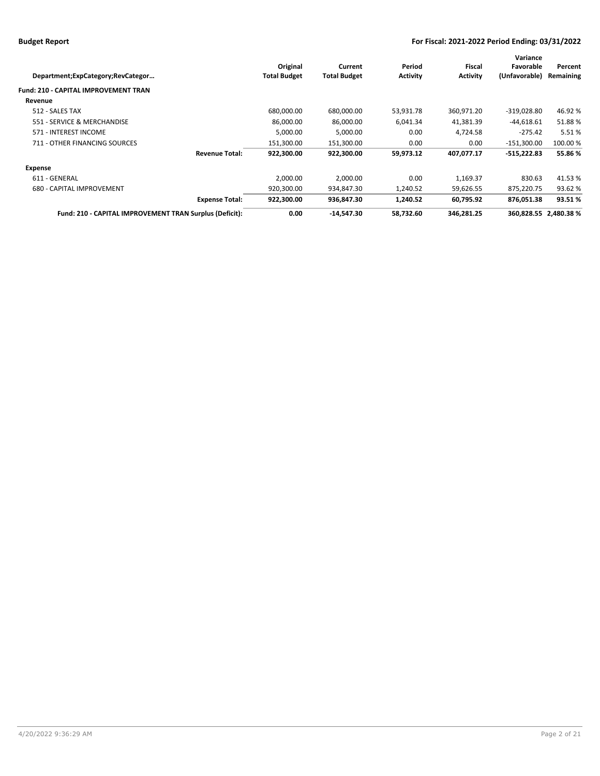| Department;ExpCategory;RevCategor                       |                       | Original<br><b>Total Budget</b> | Current<br><b>Total Budget</b> | Period<br><b>Activity</b> | Fiscal<br><b>Activity</b> | Variance<br>Favorable<br>(Unfavorable) | Percent<br>Remaining  |
|---------------------------------------------------------|-----------------------|---------------------------------|--------------------------------|---------------------------|---------------------------|----------------------------------------|-----------------------|
| <b>Fund: 210 - CAPITAL IMPROVEMENT TRAN</b>             |                       |                                 |                                |                           |                           |                                        |                       |
| Revenue                                                 |                       |                                 |                                |                           |                           |                                        |                       |
| 512 - SALES TAX                                         |                       | 680,000.00                      | 680,000.00                     | 53,931.78                 | 360,971.20                | $-319,028.80$                          | 46.92%                |
| 551 - SERVICE & MERCHANDISE                             |                       | 86,000.00                       | 86,000.00                      | 6,041.34                  | 41,381.39                 | $-44,618.61$                           | 51.88%                |
| 571 - INTEREST INCOME                                   |                       | 5,000.00                        | 5,000.00                       | 0.00                      | 4,724.58                  | $-275.42$                              | 5.51%                 |
| 711 - OTHER FINANCING SOURCES                           |                       | 151,300.00                      | 151,300.00                     | 0.00                      | 0.00                      | -151,300.00                            | 100.00 %              |
|                                                         | <b>Revenue Total:</b> | 922.300.00                      | 922.300.00                     | 59,973.12                 | 407,077.17                | $-515.222.83$                          | 55.86 %               |
| Expense                                                 |                       |                                 |                                |                           |                           |                                        |                       |
| 611 - GENERAL                                           |                       | 2,000.00                        | 2,000.00                       | 0.00                      | 1,169.37                  | 830.63                                 | 41.53%                |
| 680 - CAPITAL IMPROVEMENT                               |                       | 920,300.00                      | 934,847.30                     | 1,240.52                  | 59,626.55                 | 875,220.75                             | 93.62 %               |
|                                                         | <b>Expense Total:</b> | 922,300.00                      | 936,847.30                     | 1,240.52                  | 60,795.92                 | 876,051.38                             | 93.51%                |
| Fund: 210 - CAPITAL IMPROVEMENT TRAN Surplus (Deficit): |                       | 0.00                            | -14,547.30                     | 58,732.60                 | 346,281.25                |                                        | 360,828.55 2,480.38 % |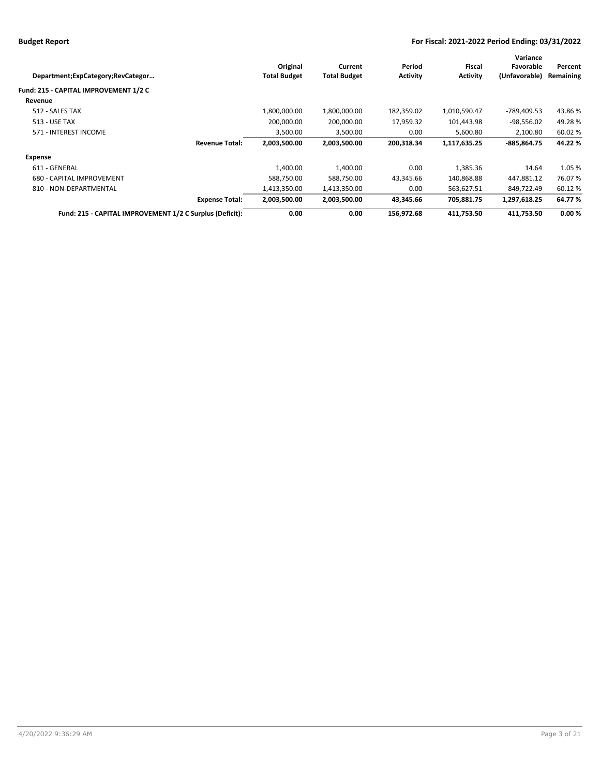|                       |                     |                 |                 | Variance      |           |
|-----------------------|---------------------|-----------------|-----------------|---------------|-----------|
| Original              | Current             | Period          | Fiscal          | Favorable     | Percent   |
| <b>Total Budget</b>   | <b>Total Budget</b> | <b>Activity</b> | <b>Activity</b> | (Unfavorable) | Remaining |
|                       |                     |                 |                 |               |           |
|                       |                     |                 |                 |               |           |
| 1,800,000.00          | 1,800,000.00        | 182,359.02      | 1,010,590.47    | -789.409.53   | 43.86%    |
| 200.000.00            | 200.000.00          | 17,959.32       | 101,443.98      | -98,556.02    | 49.28%    |
| 3,500.00              | 3,500.00            | 0.00            | 5,600.80        | 2,100.80      | 60.02 %   |
| 2,003,500.00          | 2,003,500.00        | 200,318.34      | 1,117,635.25    | -885.864.75   | 44.22 %   |
|                       |                     |                 |                 |               |           |
| 1,400.00              | 1,400.00            | 0.00            | 1,385.36        | 14.64         | 1.05 %    |
| 588,750.00            | 588,750.00          | 43,345.66       | 140,868.88      | 447,881.12    | 76.07%    |
| 1,413,350.00          | 1,413,350.00        | 0.00            | 563,627.51      | 849,722.49    | 60.12%    |
| 2,003,500.00          | 2,003,500.00        | 43,345.66       | 705,881.75      | 1,297,618.25  | 64.77%    |
| 0.00                  | 0.00                | 156,972.68      | 411,753.50      | 411.753.50    | 0.00%     |
| <b>Expense Total:</b> |                     |                 |                 |               |           |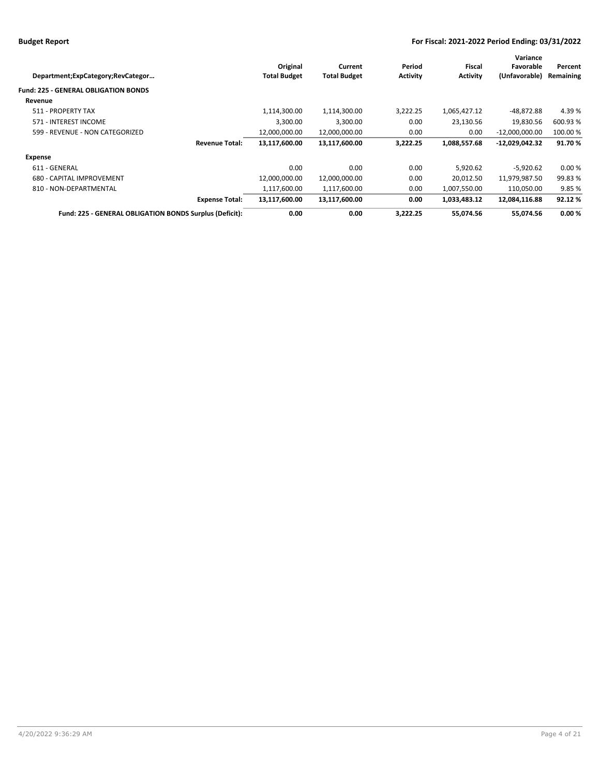| Department;ExpCategory;RevCategor                       | Original<br><b>Total Budget</b>        | Current<br><b>Total Budget</b> | Period<br><b>Activity</b> | Fiscal<br><b>Activity</b> | Variance<br>Favorable<br>(Unfavorable) | Percent<br>Remaining |
|---------------------------------------------------------|----------------------------------------|--------------------------------|---------------------------|---------------------------|----------------------------------------|----------------------|
| <b>Fund: 225 - GENERAL OBLIGATION BONDS</b>             |                                        |                                |                           |                           |                                        |                      |
| Revenue                                                 |                                        |                                |                           |                           |                                        |                      |
| 511 - PROPERTY TAX                                      | 1,114,300.00                           | 1,114,300.00                   | 3,222.25                  | 1,065,427.12              | $-48,872.88$                           | 4.39%                |
| 571 - INTEREST INCOME                                   | 3,300.00                               | 3,300.00                       | 0.00                      | 23,130.56                 | 19,830.56                              | 600.93 %             |
| 599 - REVENUE - NON CATEGORIZED                         | 12,000,000.00                          | 12,000,000.00                  | 0.00                      | 0.00                      | $-12,000,000.00$                       | 100.00 %             |
|                                                         | 13,117,600.00<br><b>Revenue Total:</b> | 13,117,600.00                  | 3,222.25                  | 1,088,557.68              | -12,029,042.32                         | 91.70%               |
| Expense                                                 |                                        |                                |                           |                           |                                        |                      |
| 611 - GENERAL                                           | 0.00                                   | 0.00                           | 0.00                      | 5,920.62                  | $-5,920.62$                            | 0.00%                |
| 680 - CAPITAL IMPROVEMENT                               | 12,000,000.00                          | 12,000,000.00                  | 0.00                      | 20,012.50                 | 11,979,987.50                          | 99.83%               |
| 810 - NON-DEPARTMENTAL                                  | 1,117,600.00                           | 1,117,600.00                   | 0.00                      | 1,007,550.00              | 110,050.00                             | 9.85%                |
|                                                         | 13,117,600.00<br><b>Expense Total:</b> | 13,117,600.00                  | 0.00                      | 1,033,483.12              | 12,084,116.88                          | 92.12%               |
| Fund: 225 - GENERAL OBLIGATION BONDS Surplus (Deficit): | 0.00                                   | 0.00                           | 3,222.25                  | 55,074.56                 | 55,074.56                              | 0.00%                |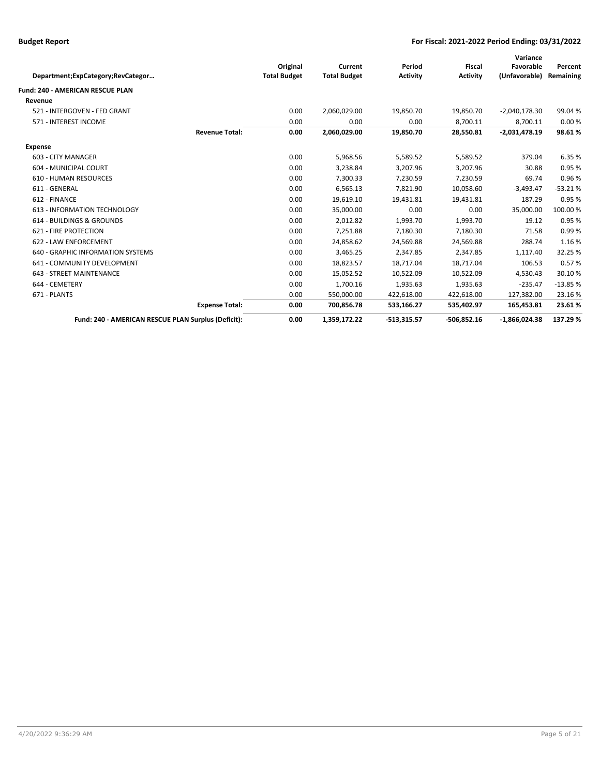|                                                     |                       |                     |                     |                 |                 | Variance        |           |
|-----------------------------------------------------|-----------------------|---------------------|---------------------|-----------------|-----------------|-----------------|-----------|
|                                                     |                       | Original            | Current             | Period          | <b>Fiscal</b>   | Favorable       | Percent   |
| Department;ExpCategory;RevCategor                   |                       | <b>Total Budget</b> | <b>Total Budget</b> | <b>Activity</b> | <b>Activity</b> | (Unfavorable)   | Remaining |
| Fund: 240 - AMERICAN RESCUE PLAN                    |                       |                     |                     |                 |                 |                 |           |
| Revenue                                             |                       |                     |                     |                 |                 |                 |           |
| 521 - INTERGOVEN - FED GRANT                        |                       | 0.00                | 2,060,029.00        | 19,850.70       | 19,850.70       | $-2,040,178.30$ | 99.04 %   |
| 571 - INTEREST INCOME                               |                       | 0.00                | 0.00                | 0.00            | 8,700.11        | 8,700.11        | 0.00%     |
|                                                     | <b>Revenue Total:</b> | 0.00                | 2,060,029.00        | 19,850.70       | 28,550.81       | $-2,031,478.19$ | 98.61%    |
| Expense                                             |                       |                     |                     |                 |                 |                 |           |
| 603 - CITY MANAGER                                  |                       | 0.00                | 5,968.56            | 5,589.52        | 5,589.52        | 379.04          | 6.35 %    |
| 604 - MUNICIPAL COURT                               |                       | 0.00                | 3,238.84            | 3,207.96        | 3,207.96        | 30.88           | 0.95 %    |
| <b>610 - HUMAN RESOURCES</b>                        |                       | 0.00                | 7,300.33            | 7,230.59        | 7,230.59        | 69.74           | 0.96%     |
| 611 - GENERAL                                       |                       | 0.00                | 6,565.13            | 7,821.90        | 10,058.60       | $-3,493.47$     | $-53.21%$ |
| 612 - FINANCE                                       |                       | 0.00                | 19,619.10           | 19,431.81       | 19,431.81       | 187.29          | 0.95%     |
| 613 - INFORMATION TECHNOLOGY                        |                       | 0.00                | 35,000.00           | 0.00            | 0.00            | 35,000.00       | 100.00 %  |
| 614 - BUILDINGS & GROUNDS                           |                       | 0.00                | 2,012.82            | 1,993.70        | 1,993.70        | 19.12           | 0.95%     |
| 621 - FIRE PROTECTION                               |                       | 0.00                | 7,251.88            | 7,180.30        | 7,180.30        | 71.58           | 0.99%     |
| 622 - LAW ENFORCEMENT                               |                       | 0.00                | 24,858.62           | 24,569.88       | 24,569.88       | 288.74          | 1.16%     |
| 640 - GRAPHIC INFORMATION SYSTEMS                   |                       | 0.00                | 3,465.25            | 2,347.85        | 2,347.85        | 1,117.40        | 32.25 %   |
| 641 - COMMUNITY DEVELOPMENT                         |                       | 0.00                | 18,823.57           | 18,717.04       | 18,717.04       | 106.53          | 0.57%     |
| 643 - STREET MAINTENANCE                            |                       | 0.00                | 15,052.52           | 10,522.09       | 10,522.09       | 4.530.43        | 30.10%    |
| 644 - CEMETERY                                      |                       | 0.00                | 1,700.16            | 1,935.63        | 1,935.63        | $-235.47$       | $-13.85%$ |
| 671 - PLANTS                                        |                       | 0.00                | 550,000.00          | 422,618.00      | 422,618.00      | 127,382.00      | 23.16%    |
|                                                     | <b>Expense Total:</b> | 0.00                | 700,856.78          | 533,166.27      | 535,402.97      | 165,453.81      | 23.61%    |
| Fund: 240 - AMERICAN RESCUE PLAN Surplus (Deficit): |                       | 0.00                | 1,359,172.22        | $-513,315.57$   | $-506,852.16$   | $-1,866,024.38$ | 137.29%   |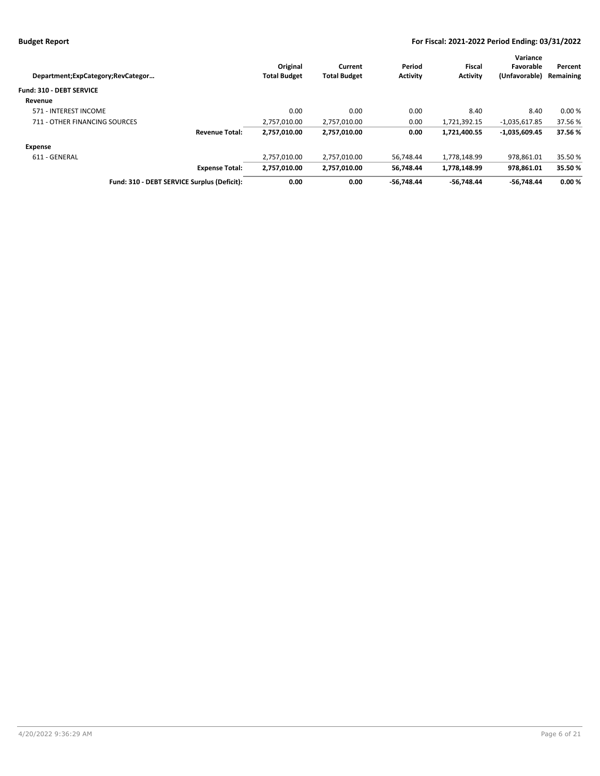|                                   |                                             |                     |                     |                 |                 | Variance        |           |
|-----------------------------------|---------------------------------------------|---------------------|---------------------|-----------------|-----------------|-----------------|-----------|
|                                   |                                             | Original            | Current             | Period          | Fiscal          | Favorable       | Percent   |
| Department;ExpCategory;RevCategor |                                             | <b>Total Budget</b> | <b>Total Budget</b> | <b>Activity</b> | <b>Activity</b> | (Unfavorable)   | Remaining |
| Fund: 310 - DEBT SERVICE          |                                             |                     |                     |                 |                 |                 |           |
| Revenue                           |                                             |                     |                     |                 |                 |                 |           |
| 571 - INTEREST INCOME             |                                             | 0.00                | 0.00                | 0.00            | 8.40            | 8.40            | 0.00%     |
| 711 - OTHER FINANCING SOURCES     |                                             | 2,757,010.00        | 2,757,010.00        | 0.00            | 1,721,392.15    | $-1,035,617.85$ | 37.56 %   |
|                                   | <b>Revenue Total:</b>                       | 2,757,010.00        | 2,757,010.00        | 0.00            | 1,721,400.55    | $-1,035,609.45$ | 37.56%    |
| Expense                           |                                             |                     |                     |                 |                 |                 |           |
| 611 - GENERAL                     |                                             | 2.757.010.00        | 2.757.010.00        | 56.748.44       | 1.778.148.99    | 978.861.01      | 35.50 %   |
|                                   | <b>Expense Total:</b>                       | 2,757,010.00        | 2,757,010.00        | 56,748.44       | 1,778,148.99    | 978.861.01      | 35.50%    |
|                                   | Fund: 310 - DEBT SERVICE Surplus (Deficit): | 0.00                | 0.00                | $-56.748.44$    | -56.748.44      | $-56.748.44$    | 0.00%     |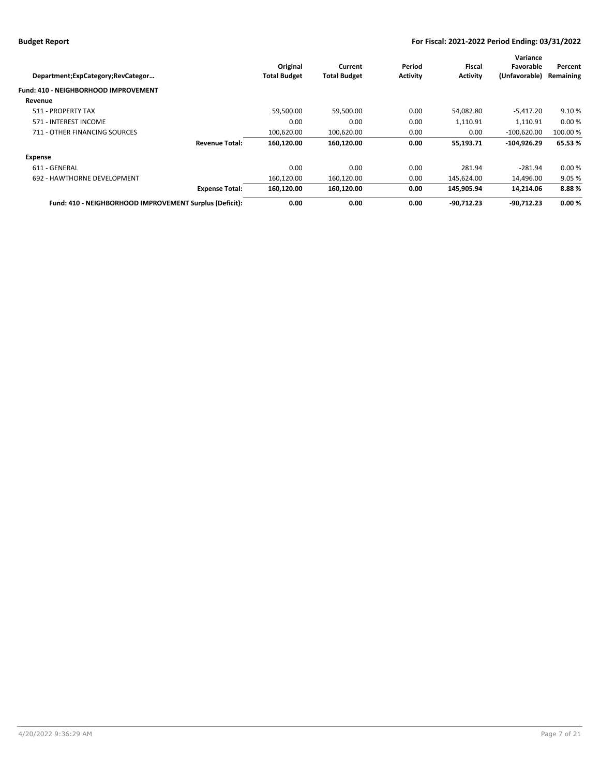| Department;ExpCategory;RevCategor                       | Original<br><b>Total Budget</b> | Current<br><b>Total Budget</b> | Period<br><b>Activity</b> | Fiscal<br><b>Activity</b> | Variance<br>Favorable<br>(Unfavorable) | Percent<br>Remaining |
|---------------------------------------------------------|---------------------------------|--------------------------------|---------------------------|---------------------------|----------------------------------------|----------------------|
| Fund: 410 - NEIGHBORHOOD IMPROVEMENT                    |                                 |                                |                           |                           |                                        |                      |
| Revenue                                                 |                                 |                                |                           |                           |                                        |                      |
| 511 - PROPERTY TAX                                      | 59,500.00                       | 59,500.00                      | 0.00                      | 54,082.80                 | $-5,417.20$                            | 9.10%                |
| 571 - INTEREST INCOME                                   | 0.00                            | 0.00                           | 0.00                      | 1,110.91                  | 1,110.91                               | 0.00%                |
| 711 - OTHER FINANCING SOURCES                           | 100,620.00                      | 100,620.00                     | 0.00                      | 0.00                      | $-100.620.00$                          | 100.00 %             |
| <b>Revenue Total:</b>                                   | 160.120.00                      | 160.120.00                     | 0.00                      | 55,193.71                 | $-104.926.29$                          | 65.53%               |
| <b>Expense</b>                                          |                                 |                                |                           |                           |                                        |                      |
| 611 - GENERAL                                           | 0.00                            | 0.00                           | 0.00                      | 281.94                    | $-281.94$                              | 0.00%                |
| 692 - HAWTHORNE DEVELOPMENT                             | 160,120.00                      | 160,120.00                     | 0.00                      | 145,624.00                | 14,496.00                              | 9.05%                |
| <b>Expense Total:</b>                                   | 160,120.00                      | 160,120.00                     | 0.00                      | 145,905.94                | 14,214.06                              | 8.88%                |
| Fund: 410 - NEIGHBORHOOD IMPROVEMENT Surplus (Deficit): | 0.00                            | 0.00                           | 0.00                      | $-90.712.23$              | $-90.712.23$                           | 0.00%                |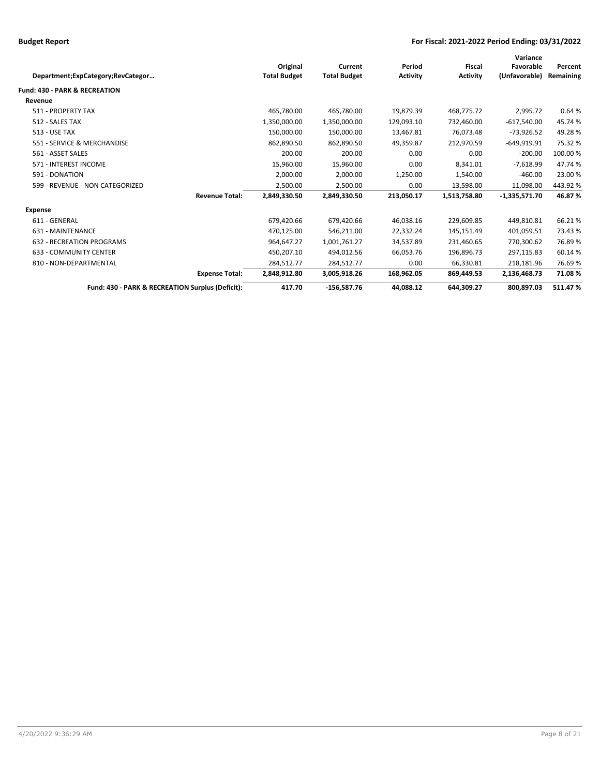| Original<br><b>Total Budget</b> | Current<br><b>Total Budget</b> | Period<br><b>Activity</b> | <b>Fiscal</b><br><b>Activity</b> | Variance<br>Favorable<br>(Unfavorable) | Percent<br>Remaining |
|---------------------------------|--------------------------------|---------------------------|----------------------------------|----------------------------------------|----------------------|
|                                 |                                |                           |                                  |                                        |                      |
|                                 |                                |                           |                                  |                                        |                      |
| 465,780.00                      | 465,780.00                     | 19,879.39                 | 468,775.72                       | 2,995.72                               | 0.64%                |
| 1,350,000.00                    | 1,350,000.00                   | 129,093.10                | 732,460.00                       | $-617,540.00$                          | 45.74 %              |
| 150,000.00                      | 150,000.00                     | 13,467.81                 | 76,073.48                        | $-73,926.52$                           | 49.28%               |
| 862,890.50                      | 862,890.50                     | 49,359.87                 | 212,970.59                       | $-649,919.91$                          | 75.32 %              |
| 200.00                          | 200.00                         | 0.00                      | 0.00                             | $-200.00$                              | 100.00 %             |
| 15,960.00                       | 15,960.00                      | 0.00                      | 8,341.01                         | $-7,618.99$                            | 47.74 %              |
| 2,000.00                        | 2,000.00                       | 1,250.00                  | 1,540.00                         | $-460.00$                              | 23.00 %              |
| 2,500.00                        | 2,500.00                       | 0.00                      | 13,598.00                        | 11,098.00                              | 443.92%              |
| 2,849,330.50                    | 2,849,330.50                   | 213,050.17                | 1,513,758.80                     | $-1,335,571.70$                        | 46.87%               |
|                                 |                                |                           |                                  |                                        |                      |
| 679,420.66                      | 679,420.66                     | 46,038.16                 | 229,609.85                       | 449,810.81                             | 66.21%               |
| 470,125.00                      | 546,211.00                     | 22,332.24                 | 145,151.49                       | 401,059.51                             | 73.43%               |
| 964,647.27                      | 1,001,761.27                   | 34,537.89                 | 231,460.65                       | 770,300.62                             | 76.89%               |
| 450,207.10                      | 494,012.56                     | 66,053.76                 | 196,896.73                       | 297,115.83                             | 60.14 %              |
| 284,512.77                      | 284,512.77                     | 0.00                      | 66,330.81                        | 218,181.96                             | 76.69%               |
| 2,848,912.80                    | 3,005,918.26                   | 168,962.05                | 869,449.53                       | 2,136,468.73                           | 71.08%               |
| 417.70                          | $-156,587.76$                  | 44,088.12                 | 644,309.27                       | 800,897.03                             | 511.47%              |
|                                 |                                |                           |                                  |                                        |                      |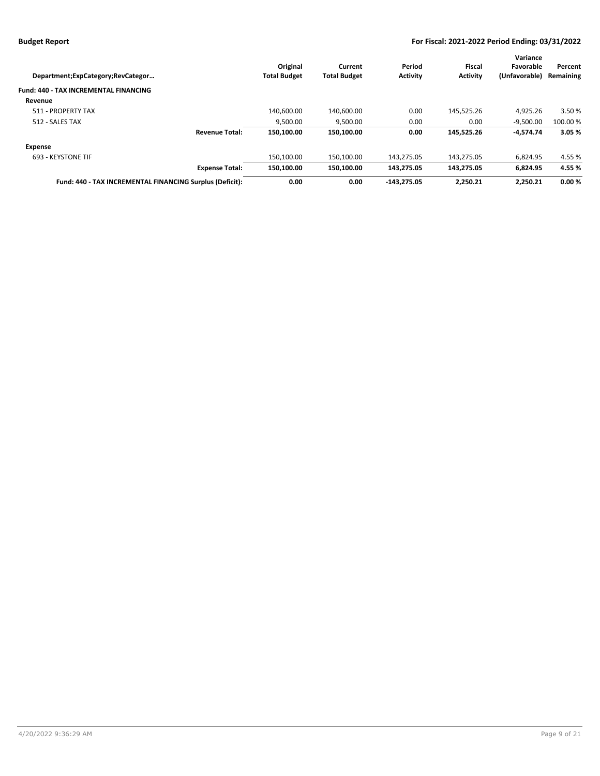| Department; ExpCategory; RevCategor                      | Original<br><b>Total Budget</b> | <b>Current</b><br><b>Total Budget</b> | Period<br><b>Activity</b> | Fiscal<br><b>Activity</b> | Variance<br>Favorable<br>(Unfavorable) | Percent<br>Remaining |
|----------------------------------------------------------|---------------------------------|---------------------------------------|---------------------------|---------------------------|----------------------------------------|----------------------|
| Fund: 440 - TAX INCREMENTAL FINANCING                    |                                 |                                       |                           |                           |                                        |                      |
| Revenue                                                  |                                 |                                       |                           |                           |                                        |                      |
| 511 - PROPERTY TAX                                       | 140,600.00                      | 140,600.00                            | 0.00                      | 145,525.26                | 4,925.26                               | 3.50 %               |
| 512 - SALES TAX                                          | 9,500.00                        | 9,500.00                              | 0.00                      | 0.00                      | $-9,500.00$                            | 100.00 %             |
| <b>Revenue Total:</b>                                    | 150.100.00                      | 150,100.00                            | 0.00                      | 145,525.26                | $-4,574.74$                            | 3.05%                |
| <b>Expense</b>                                           |                                 |                                       |                           |                           |                                        |                      |
| 693 - KEYSTONE TIF                                       | 150.100.00                      | 150.100.00                            | 143.275.05                | 143.275.05                | 6.824.95                               | 4.55 %               |
| <b>Expense Total:</b>                                    | 150.100.00                      | 150,100.00                            | 143.275.05                | 143.275.05                | 6,824.95                               | 4.55 %               |
| Fund: 440 - TAX INCREMENTAL FINANCING Surplus (Deficit): | 0.00                            | 0.00                                  | $-143.275.05$             | 2.250.21                  | 2.250.21                               | 0.00%                |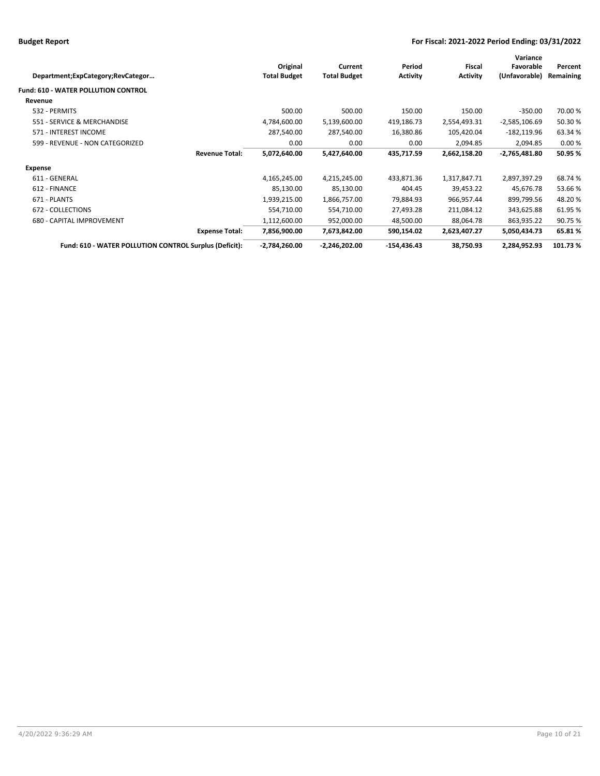| Department;ExpCategory;RevCategor                      |                       | Original<br><b>Total Budget</b> | Current<br><b>Total Budget</b> | Period<br><b>Activity</b> | Fiscal<br><b>Activity</b> | Variance<br>Favorable<br>(Unfavorable) | Percent<br>Remaining |
|--------------------------------------------------------|-----------------------|---------------------------------|--------------------------------|---------------------------|---------------------------|----------------------------------------|----------------------|
| <b>Fund: 610 - WATER POLLUTION CONTROL</b>             |                       |                                 |                                |                           |                           |                                        |                      |
| Revenue                                                |                       |                                 |                                |                           |                           |                                        |                      |
| 532 - PERMITS                                          |                       | 500.00                          | 500.00                         | 150.00                    | 150.00                    | $-350.00$                              | 70.00%               |
| 551 - SERVICE & MERCHANDISE                            |                       | 4,784,600.00                    | 5,139,600.00                   | 419,186.73                | 2,554,493.31              | $-2,585,106.69$                        | 50.30%               |
| 571 - INTEREST INCOME                                  |                       | 287,540.00                      | 287,540.00                     | 16,380.86                 | 105,420.04                | $-182, 119.96$                         | 63.34 %              |
| 599 - REVENUE - NON CATEGORIZED                        |                       | 0.00                            | 0.00                           | 0.00                      | 2,094.85                  | 2,094.85                               | 0.00%                |
|                                                        | <b>Revenue Total:</b> | 5,072,640.00                    | 5,427,640.00                   | 435,717.59                | 2,662,158.20              | $-2,765,481.80$                        | 50.95 %              |
| Expense                                                |                       |                                 |                                |                           |                           |                                        |                      |
| 611 - GENERAL                                          |                       | 4,165,245.00                    | 4,215,245.00                   | 433,871.36                | 1,317,847.71              | 2,897,397.29                           | 68.74 %              |
| 612 - FINANCE                                          |                       | 85,130.00                       | 85,130.00                      | 404.45                    | 39,453.22                 | 45,676.78                              | 53.66%               |
| 671 - PLANTS                                           |                       | 1,939,215.00                    | 1,866,757.00                   | 79,884.93                 | 966,957.44                | 899,799.56                             | 48.20%               |
| 672 - COLLECTIONS                                      |                       | 554,710.00                      | 554,710.00                     | 27,493.28                 | 211,084.12                | 343,625.88                             | 61.95%               |
| 680 - CAPITAL IMPROVEMENT                              |                       | 1,112,600.00                    | 952,000.00                     | 48,500.00                 | 88,064.78                 | 863,935.22                             | 90.75 %              |
|                                                        | <b>Expense Total:</b> | 7,856,900.00                    | 7,673,842.00                   | 590,154.02                | 2,623,407.27              | 5,050,434.73                           | 65.81%               |
| Fund: 610 - WATER POLLUTION CONTROL Surplus (Deficit): |                       | $-2,784,260.00$                 | $-2,246,202.00$                | $-154,436.43$             | 38,750.93                 | 2,284,952.93                           | 101.73%              |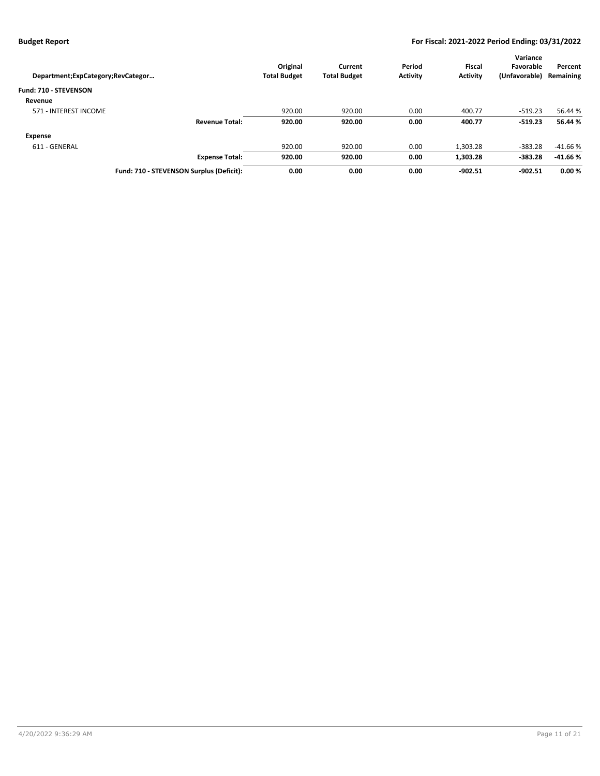| Department; ExpCategory; RevCategor      | Original<br><b>Total Budget</b> | Current<br><b>Total Budget</b> | Period<br><b>Activity</b> | <b>Fiscal</b><br><b>Activity</b> | Variance<br>Favorable<br>(Unfavorable) | Percent<br>Remaining |
|------------------------------------------|---------------------------------|--------------------------------|---------------------------|----------------------------------|----------------------------------------|----------------------|
| Fund: 710 - STEVENSON                    |                                 |                                |                           |                                  |                                        |                      |
| Revenue                                  |                                 |                                |                           |                                  |                                        |                      |
| 571 - INTEREST INCOME                    | 920.00                          | 920.00                         | 0.00                      | 400.77                           | $-519.23$                              | 56.44 %              |
| <b>Revenue Total:</b>                    | 920.00                          | 920.00                         | 0.00                      | 400.77                           | $-519.23$                              | 56.44 %              |
| Expense                                  |                                 |                                |                           |                                  |                                        |                      |
| 611 - GENERAL                            | 920.00                          | 920.00                         | 0.00                      | 1,303.28                         | $-383.28$                              | $-41.66%$            |
| <b>Expense Total:</b>                    | 920.00                          | 920.00                         | 0.00                      | 1,303.28                         | $-383.28$                              | $-41.66%$            |
| Fund: 710 - STEVENSON Surplus (Deficit): | 0.00                            | 0.00                           | 0.00                      | $-902.51$                        | $-902.51$                              | 0.00%                |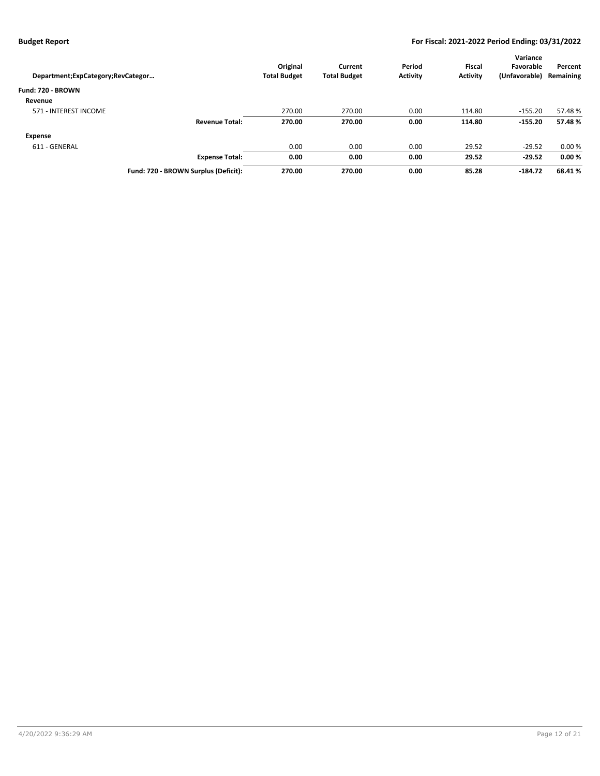| Department; ExpCategory; RevCategor  | Original<br><b>Total Budget</b> | Current<br><b>Total Budget</b> | Period<br><b>Activity</b> | <b>Fiscal</b><br><b>Activity</b> | Variance<br>Favorable<br>(Unfavorable) | Percent<br>Remaining |
|--------------------------------------|---------------------------------|--------------------------------|---------------------------|----------------------------------|----------------------------------------|----------------------|
| Fund: 720 - BROWN                    |                                 |                                |                           |                                  |                                        |                      |
| Revenue                              |                                 |                                |                           |                                  |                                        |                      |
| 571 - INTEREST INCOME                | 270.00                          | 270.00                         | 0.00                      | 114.80                           | $-155.20$                              | 57.48%               |
| <b>Revenue Total:</b>                | 270.00                          | 270.00                         | 0.00                      | 114.80                           | $-155.20$                              | 57.48%               |
| Expense                              |                                 |                                |                           |                                  |                                        |                      |
| 611 - GENERAL                        | 0.00                            | 0.00                           | 0.00                      | 29.52                            | $-29.52$                               | 0.00%                |
| <b>Expense Total:</b>                | 0.00                            | 0.00                           | 0.00                      | 29.52                            | $-29.52$                               | 0.00%                |
| Fund: 720 - BROWN Surplus (Deficit): | 270.00                          | 270.00                         | 0.00                      | 85.28                            | $-184.72$                              | 68.41%               |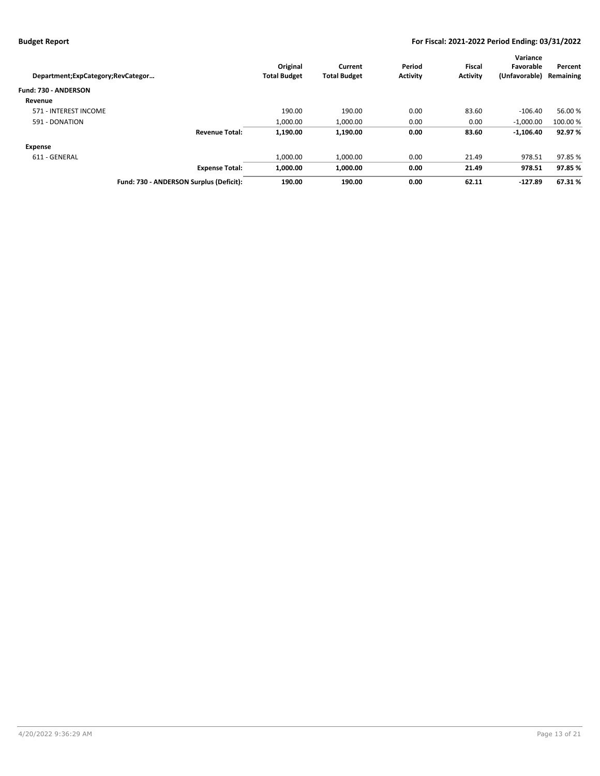|                                   |                                         |                     |                     |                 |                 | Variance      |           |
|-----------------------------------|-----------------------------------------|---------------------|---------------------|-----------------|-----------------|---------------|-----------|
|                                   |                                         | Original            | Current             | Period          | <b>Fiscal</b>   | Favorable     | Percent   |
| Department;ExpCategory;RevCategor |                                         | <b>Total Budget</b> | <b>Total Budget</b> | <b>Activity</b> | <b>Activity</b> | (Unfavorable) | Remaining |
| Fund: 730 - ANDERSON              |                                         |                     |                     |                 |                 |               |           |
| Revenue                           |                                         |                     |                     |                 |                 |               |           |
| 571 - INTEREST INCOME             |                                         | 190.00              | 190.00              | 0.00            | 83.60           | $-106.40$     | 56.00 %   |
| 591 - DONATION                    |                                         | 1.000.00            | 1,000.00            | 0.00            | 0.00            | $-1,000.00$   | 100.00 %  |
|                                   | <b>Revenue Total:</b>                   | 1,190.00            | 1,190.00            | 0.00            | 83.60           | $-1,106.40$   | 92.97%    |
| Expense                           |                                         |                     |                     |                 |                 |               |           |
| 611 - GENERAL                     |                                         | 1.000.00            | 1,000.00            | 0.00            | 21.49           | 978.51        | 97.85 %   |
|                                   | <b>Expense Total:</b>                   | 1.000.00            | 1,000.00            | 0.00            | 21.49           | 978.51        | 97.85 %   |
|                                   | Fund: 730 - ANDERSON Surplus (Deficit): | 190.00              | 190.00              | 0.00            | 62.11           | $-127.89$     | 67.31%    |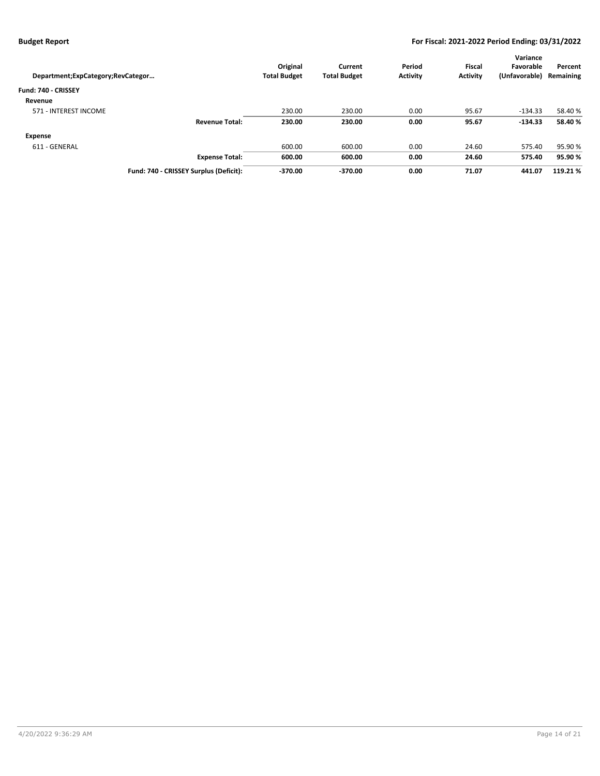| Department; ExpCategory; RevCategor    | Original<br><b>Total Budget</b> | Current<br><b>Total Budget</b> | Period<br><b>Activity</b> | <b>Fiscal</b><br><b>Activity</b> | Variance<br>Favorable<br>(Unfavorable) | Percent<br>Remaining |
|----------------------------------------|---------------------------------|--------------------------------|---------------------------|----------------------------------|----------------------------------------|----------------------|
| Fund: 740 - CRISSEY                    |                                 |                                |                           |                                  |                                        |                      |
| Revenue                                |                                 |                                |                           |                                  |                                        |                      |
| 571 - INTEREST INCOME                  | 230.00                          | 230.00                         | 0.00                      | 95.67                            | $-134.33$                              | 58.40 %              |
| <b>Revenue Total:</b>                  | 230.00                          | 230.00                         | 0.00                      | 95.67                            | $-134.33$                              | 58.40%               |
| Expense                                |                                 |                                |                           |                                  |                                        |                      |
| 611 - GENERAL                          | 600.00                          | 600.00                         | 0.00                      | 24.60                            | 575.40                                 | 95.90%               |
| <b>Expense Total:</b>                  | 600.00                          | 600.00                         | 0.00                      | 24.60                            | 575.40                                 | 95.90%               |
| Fund: 740 - CRISSEY Surplus (Deficit): | $-370.00$                       | $-370.00$                      | 0.00                      | 71.07                            | 441.07                                 | 119.21%              |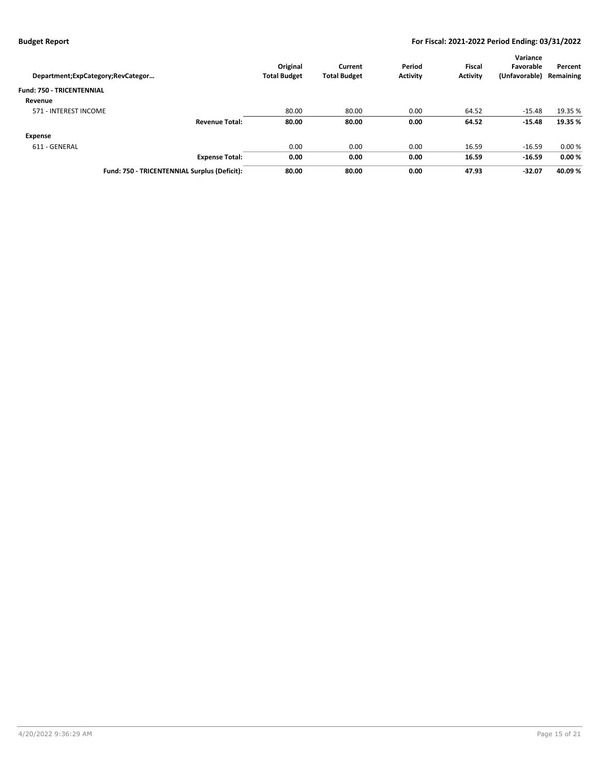| Department;ExpCategory;RevCategor            | Original<br><b>Total Budget</b> | Current<br><b>Total Budget</b> | Period<br><b>Activity</b> | <b>Fiscal</b><br><b>Activity</b> | Variance<br>Favorable<br>(Unfavorable) | Percent<br>Remaining |
|----------------------------------------------|---------------------------------|--------------------------------|---------------------------|----------------------------------|----------------------------------------|----------------------|
| <b>Fund: 750 - TRICENTENNIAL</b>             |                                 |                                |                           |                                  |                                        |                      |
| Revenue                                      |                                 |                                |                           |                                  |                                        |                      |
| 571 - INTEREST INCOME                        | 80.00                           | 80.00                          | 0.00                      | 64.52                            | $-15.48$                               | 19.35 %              |
| <b>Revenue Total:</b>                        | 80.00                           | 80.00                          | 0.00                      | 64.52                            | $-15.48$                               | 19.35 %              |
| <b>Expense</b>                               |                                 |                                |                           |                                  |                                        |                      |
| 611 - GENERAL                                | 0.00                            | 0.00                           | 0.00                      | 16.59                            | $-16.59$                               | 0.00%                |
| <b>Expense Total:</b>                        | 0.00                            | 0.00                           | 0.00                      | 16.59                            | $-16.59$                               | 0.00%                |
| Fund: 750 - TRICENTENNIAL Surplus (Deficit): | 80.00                           | 80.00                          | 0.00                      | 47.93                            | $-32.07$                               | 40.09%               |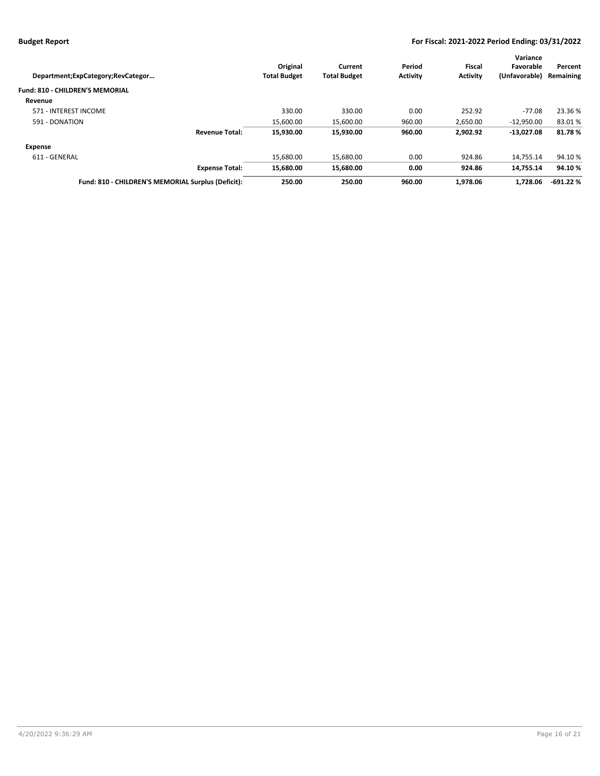|                                                    |                     |                     |                 |                 | Variance      |            |
|----------------------------------------------------|---------------------|---------------------|-----------------|-----------------|---------------|------------|
|                                                    | Original            | Current             | Period          | Fiscal          | Favorable     | Percent    |
| Department;ExpCategory;RevCategor                  | <b>Total Budget</b> | <b>Total Budget</b> | <b>Activity</b> | <b>Activity</b> | (Unfavorable) | Remaining  |
| <b>Fund: 810 - CHILDREN'S MEMORIAL</b>             |                     |                     |                 |                 |               |            |
| Revenue                                            |                     |                     |                 |                 |               |            |
| 571 - INTEREST INCOME                              | 330.00              | 330.00              | 0.00            | 252.92          | $-77.08$      | 23.36 %    |
| 591 - DONATION                                     | 15,600.00           | 15,600.00           | 960.00          | 2,650.00        | $-12.950.00$  | 83.01%     |
| <b>Revenue Total:</b>                              | 15,930.00           | 15,930.00           | 960.00          | 2,902.92        | $-13,027.08$  | 81.78%     |
| <b>Expense</b>                                     |                     |                     |                 |                 |               |            |
| 611 - GENERAL                                      | 15.680.00           | 15.680.00           | 0.00            | 924.86          | 14.755.14     | 94.10%     |
| <b>Expense Total:</b>                              | 15.680.00           | 15.680.00           | 0.00            | 924.86          | 14.755.14     | 94.10%     |
| Fund: 810 - CHILDREN'S MEMORIAL Surplus (Deficit): | 250.00              | 250.00              | 960.00          | 1.978.06        | 1.728.06      | $-691.22%$ |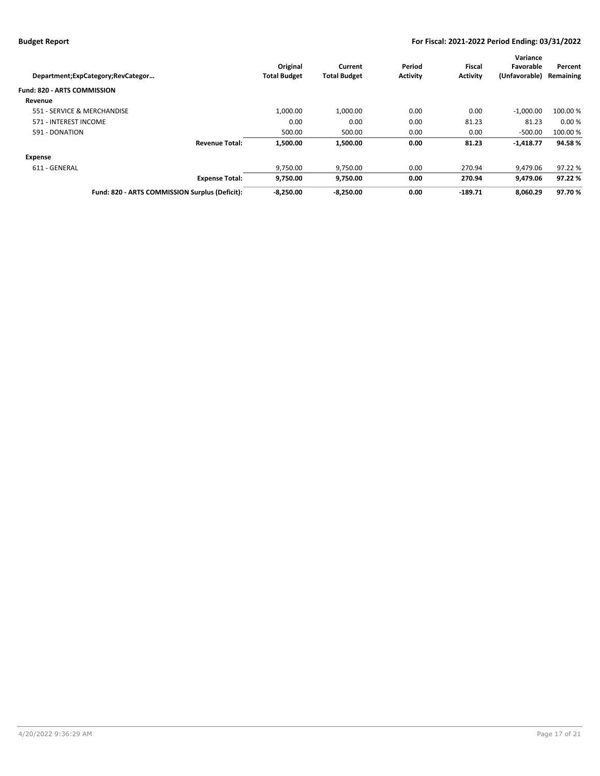|                                                |                     |                     |                 |                 | Variance      |           |
|------------------------------------------------|---------------------|---------------------|-----------------|-----------------|---------------|-----------|
|                                                | Original            | Current             | Period          | Fiscal          | Favorable     | Percent   |
| Department;ExpCategory;RevCategor              | <b>Total Budget</b> | <b>Total Budget</b> | <b>Activity</b> | <b>Activity</b> | (Unfavorable) | Remaining |
| <b>Fund: 820 - ARTS COMMISSION</b>             |                     |                     |                 |                 |               |           |
| Revenue                                        |                     |                     |                 |                 |               |           |
| 551 - SERVICE & MERCHANDISE                    | 1,000.00            | 1.000.00            | 0.00            | 0.00            | $-1,000.00$   | 100.00 %  |
| 571 - INTEREST INCOME                          | 0.00                | 0.00                | 0.00            | 81.23           | 81.23         | 0.00%     |
| 591 - DONATION                                 | 500.00              | 500.00              | 0.00            | 0.00            | $-500.00$     | 100.00 %  |
| <b>Revenue Total:</b>                          | 1.500.00            | 1.500.00            | 0.00            | 81.23           | $-1,418.77$   | 94.58%    |
| Expense                                        |                     |                     |                 |                 |               |           |
| 611 - GENERAL                                  | 9,750.00            | 9,750.00            | 0.00            | 270.94          | 9.479.06      | 97.22 %   |
| <b>Expense Total:</b>                          | 9,750.00            | 9,750.00            | 0.00            | 270.94          | 9,479.06      | 97.22%    |
| Fund: 820 - ARTS COMMISSION Surplus (Deficit): | $-8.250.00$         | $-8.250.00$         | 0.00            | $-189.71$       | 8.060.29      | 97.70%    |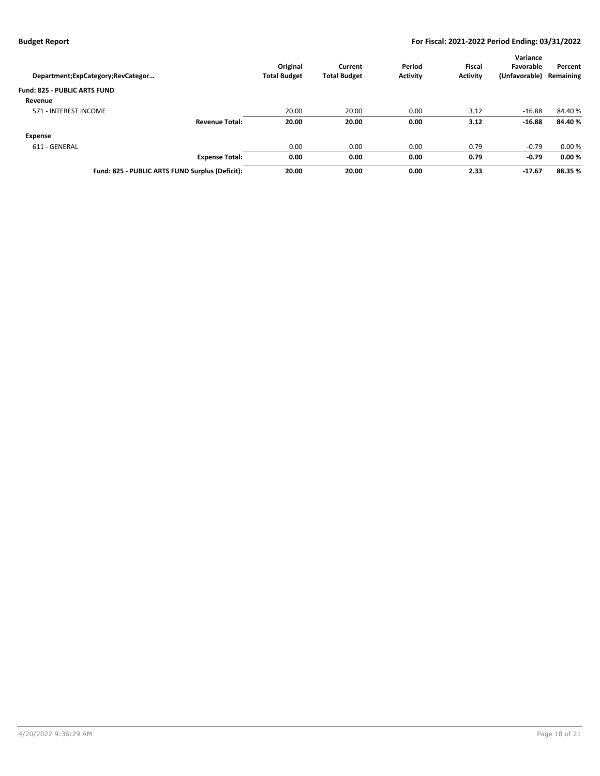| Department; ExpCategory; RevCategor             | Original<br><b>Total Budget</b> | Current<br><b>Total Budget</b> | Period<br><b>Activity</b> | <b>Fiscal</b><br><b>Activity</b> | Variance<br>Favorable<br>(Unfavorable) | Percent<br>Remaining |
|-------------------------------------------------|---------------------------------|--------------------------------|---------------------------|----------------------------------|----------------------------------------|----------------------|
| <b>Fund: 825 - PUBLIC ARTS FUND</b>             |                                 |                                |                           |                                  |                                        |                      |
| Revenue                                         |                                 |                                |                           |                                  |                                        |                      |
| 571 - INTEREST INCOME                           | 20.00                           | 20.00                          | 0.00                      | 3.12                             | $-16.88$                               | 84.40%               |
| <b>Revenue Total:</b>                           | 20.00                           | 20.00                          | 0.00                      | 3.12                             | $-16.88$                               | 84.40%               |
| Expense                                         |                                 |                                |                           |                                  |                                        |                      |
| 611 - GENERAL                                   | 0.00                            | 0.00                           | 0.00                      | 0.79                             | $-0.79$                                | 0.00%                |
| <b>Expense Total:</b>                           | 0.00                            | 0.00                           | 0.00                      | 0.79                             | $-0.79$                                | 0.00%                |
| Fund: 825 - PUBLIC ARTS FUND Surplus (Deficit): | 20.00                           | 20.00                          | 0.00                      | 2.33                             | $-17.67$                               | 88.35 %              |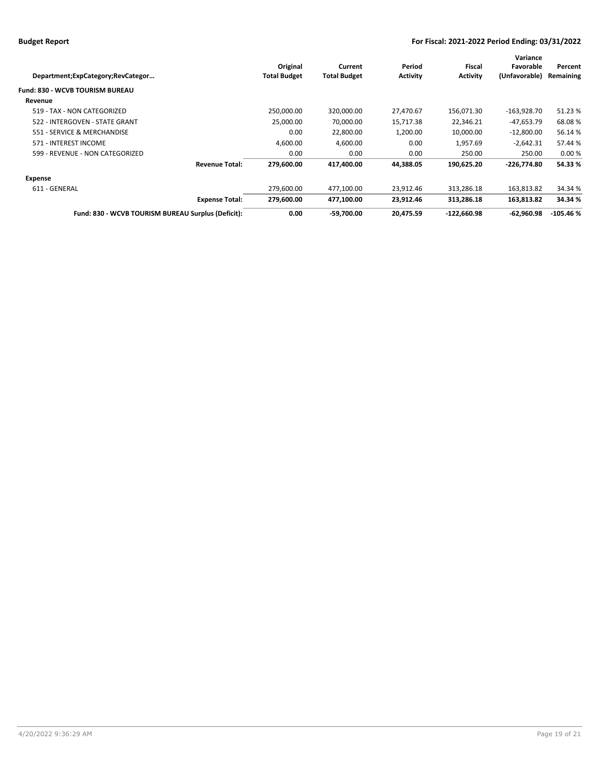| Department;ExpCategory;RevCategor                  | Original<br><b>Total Budget</b> | Current<br><b>Total Budget</b> | Period<br><b>Activity</b> | Fiscal<br><b>Activity</b> | Variance<br>Favorable<br>(Unfavorable) | Percent<br>Remaining |
|----------------------------------------------------|---------------------------------|--------------------------------|---------------------------|---------------------------|----------------------------------------|----------------------|
| Fund: 830 - WCVB TOURISM BUREAU                    |                                 |                                |                           |                           |                                        |                      |
| Revenue                                            |                                 |                                |                           |                           |                                        |                      |
| 519 - TAX - NON CATEGORIZED                        | 250,000.00                      | 320,000.00                     | 27,470.67                 | 156,071.30                | $-163,928.70$                          | 51.23%               |
| 522 - INTERGOVEN - STATE GRANT                     | 25,000.00                       | 70,000.00                      | 15,717.38                 | 22,346.21                 | -47,653.79                             | 68.08%               |
| 551 - SERVICE & MERCHANDISE                        | 0.00                            | 22,800.00                      | 1,200.00                  | 10,000.00                 | $-12,800.00$                           | 56.14%               |
| 571 - INTEREST INCOME                              | 4.600.00                        | 4,600.00                       | 0.00                      | 1,957.69                  | $-2,642.31$                            | 57.44 %              |
| 599 - REVENUE - NON CATEGORIZED                    | 0.00                            | 0.00                           | 0.00                      | 250.00                    | 250.00                                 | 0.00%                |
| <b>Revenue Total:</b>                              | 279,600.00                      | 417,400.00                     | 44,388.05                 | 190,625.20                | $-226,774.80$                          | 54.33%               |
| Expense                                            |                                 |                                |                           |                           |                                        |                      |
| 611 - GENERAL                                      | 279,600.00                      | 477,100.00                     | 23,912.46                 | 313,286.18                | 163,813.82                             | 34.34 %              |
| <b>Expense Total:</b>                              | 279.600.00                      | 477.100.00                     | 23.912.46                 | 313.286.18                | 163,813.82                             | 34.34 %              |
| Fund: 830 - WCVB TOURISM BUREAU Surplus (Deficit): | 0.00                            | $-59,700.00$                   | 20,475.59                 | $-122,660.98$             | $-62,960.98$                           | $-105.46%$           |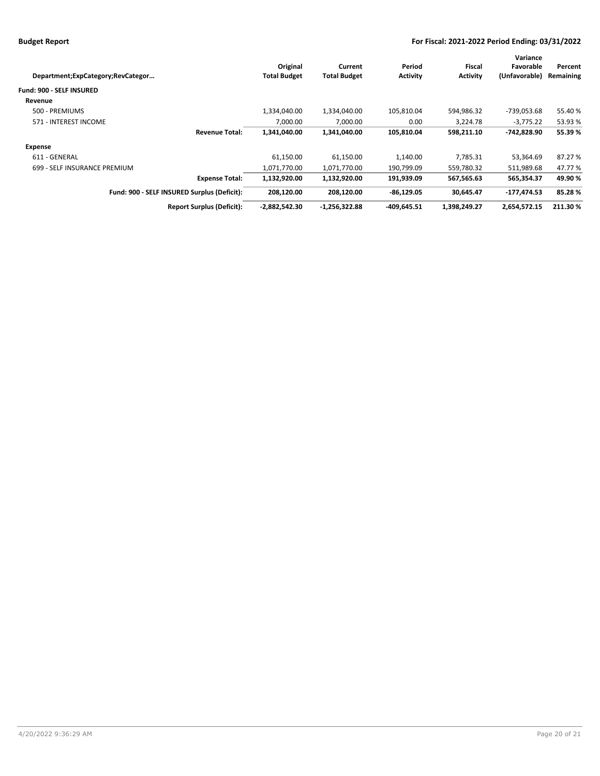|                                             |                     |                     |                 |                 | Variance      |           |
|---------------------------------------------|---------------------|---------------------|-----------------|-----------------|---------------|-----------|
|                                             | Original            | Current             | Period          | Fiscal          | Favorable     | Percent   |
| Department;ExpCategory;RevCategor           | <b>Total Budget</b> | <b>Total Budget</b> | <b>Activity</b> | <b>Activity</b> | (Unfavorable) | Remaining |
| <b>Fund: 900 - SELF INSURED</b>             |                     |                     |                 |                 |               |           |
| Revenue                                     |                     |                     |                 |                 |               |           |
| 500 - PREMIUMS                              | 1,334,040.00        | 1,334,040.00        | 105,810.04      | 594,986.32      | -739,053.68   | 55.40%    |
| 571 - INTEREST INCOME                       | 7.000.00            | 7,000.00            | 0.00            | 3.224.78        | $-3.775.22$   | 53.93 %   |
| <b>Revenue Total:</b>                       | 1,341,040.00        | 1,341,040.00        | 105,810.04      | 598,211.10      | -742.828.90   | 55.39%    |
| Expense                                     |                     |                     |                 |                 |               |           |
| 611 - GENERAL                               | 61,150.00           | 61,150.00           | 1,140.00        | 7,785.31        | 53,364.69     | 87.27 %   |
| 699 - SELF INSURANCE PREMIUM                | 1,071,770.00        | 1,071,770.00        | 190,799.09      | 559,780.32      | 511,989.68    | 47.77 %   |
| <b>Expense Total:</b>                       | 1,132,920.00        | 1,132,920.00        | 191,939.09      | 567,565.63      | 565,354.37    | 49.90%    |
| Fund: 900 - SELF INSURED Surplus (Deficit): | 208.120.00          | 208.120.00          | $-86.129.05$    | 30.645.47       | -177.474.53   | 85.28%    |
| <b>Report Surplus (Deficit):</b>            | $-2,882,542.30$     | $-1,256,322.88$     | $-409.645.51$   | 1,398,249.27    | 2,654,572.15  | 211.30 %  |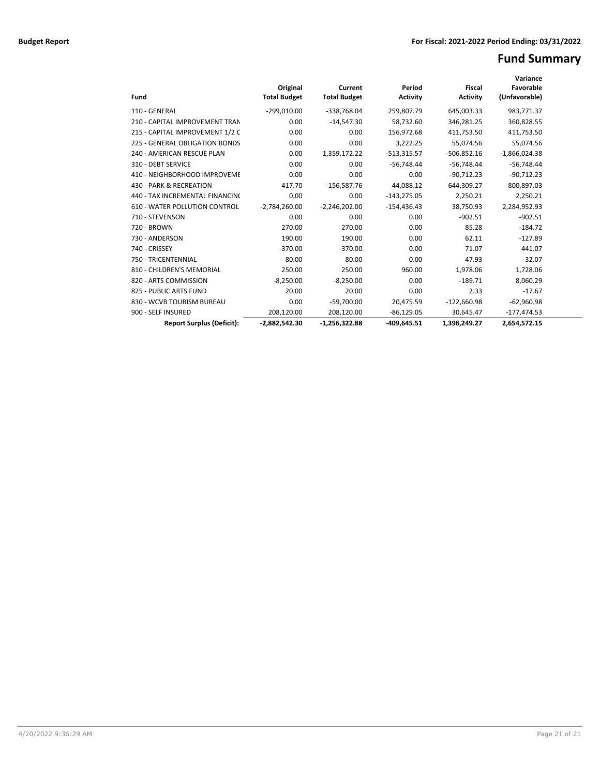# **Fund Summary**

| Fund                                 | Original<br><b>Total Budget</b> | Current<br><b>Total Budget</b> | Period<br><b>Activity</b> | <b>Fiscal</b><br><b>Activity</b> | Variance<br>Favorable<br>(Unfavorable) |  |
|--------------------------------------|---------------------------------|--------------------------------|---------------------------|----------------------------------|----------------------------------------|--|
| 110 - GENERAL                        | $-299,010.00$                   | -338,768.04                    | 259,807.79                | 645,003.33                       | 983,771.37                             |  |
| 210 - CAPITAL IMPROVEMENT TRAN       | 0.00                            | $-14,547.30$                   | 58,732.60                 | 346,281.25                       | 360,828.55                             |  |
| 215 - CAPITAL IMPROVEMENT 1/2 C      | 0.00                            | 0.00                           | 156,972.68                | 411,753.50                       | 411,753.50                             |  |
| 225 - GENERAL OBLIGATION BONDS       | 0.00                            | 0.00                           | 3,222.25                  | 55,074.56                        | 55,074.56                              |  |
| 240 - AMERICAN RESCUE PLAN           | 0.00                            | 1,359,172.22                   | $-513,315.57$             | $-506,852.16$                    | $-1,866,024.38$                        |  |
| 310 - DEBT SERVICE                   | 0.00                            | 0.00                           | $-56,748.44$              | $-56,748.44$                     | $-56,748.44$                           |  |
| 410 - NEIGHBORHOOD IMPROVEME         | 0.00                            | 0.00                           | 0.00                      | $-90,712.23$                     | $-90,712.23$                           |  |
| 430 - PARK & RECREATION              | 417.70                          | $-156,587.76$                  | 44,088.12                 | 644,309.27                       | 800,897.03                             |  |
| 440 - TAX INCREMENTAL FINANCINO      | 0.00                            | 0.00                           | $-143,275.05$             | 2,250.21                         | 2,250.21                               |  |
| <b>610 - WATER POLLUTION CONTROL</b> | $-2,784,260.00$                 | $-2,246,202.00$                | $-154,436.43$             | 38,750.93                        | 2,284,952.93                           |  |
| 710 - STEVENSON                      | 0.00                            | 0.00                           | 0.00                      | $-902.51$                        | $-902.51$                              |  |
| 720 - BROWN                          | 270.00                          | 270.00                         | 0.00                      | 85.28                            | $-184.72$                              |  |
| 730 - ANDERSON                       | 190.00                          | 190.00                         | 0.00                      | 62.11                            | $-127.89$                              |  |
| 740 - CRISSEY                        | $-370.00$                       | $-370.00$                      | 0.00                      | 71.07                            | 441.07                                 |  |
| 750 - TRICENTENNIAL                  | 80.00                           | 80.00                          | 0.00                      | 47.93                            | $-32.07$                               |  |
| 810 - CHILDREN'S MEMORIAL            | 250.00                          | 250.00                         | 960.00                    | 1,978.06                         | 1,728.06                               |  |
| 820 - ARTS COMMISSION                | $-8,250.00$                     | $-8,250.00$                    | 0.00                      | $-189.71$                        | 8,060.29                               |  |
| 825 - PUBLIC ARTS FUND               | 20.00                           | 20.00                          | 0.00                      | 2.33                             | $-17.67$                               |  |
| 830 - WCVB TOURISM BUREAU            | 0.00                            | $-59,700.00$                   | 20,475.59                 | $-122,660.98$                    | $-62,960.98$                           |  |
| 900 - SELF INSURED                   | 208,120.00                      | 208,120.00                     | $-86,129.05$              | 30,645.47                        | $-177,474.53$                          |  |
| <b>Report Surplus (Deficit):</b>     | $-2.882.542.30$                 | $-1.256.322.88$                | $-409.645.51$             | 1,398,249.27                     | 2.654.572.15                           |  |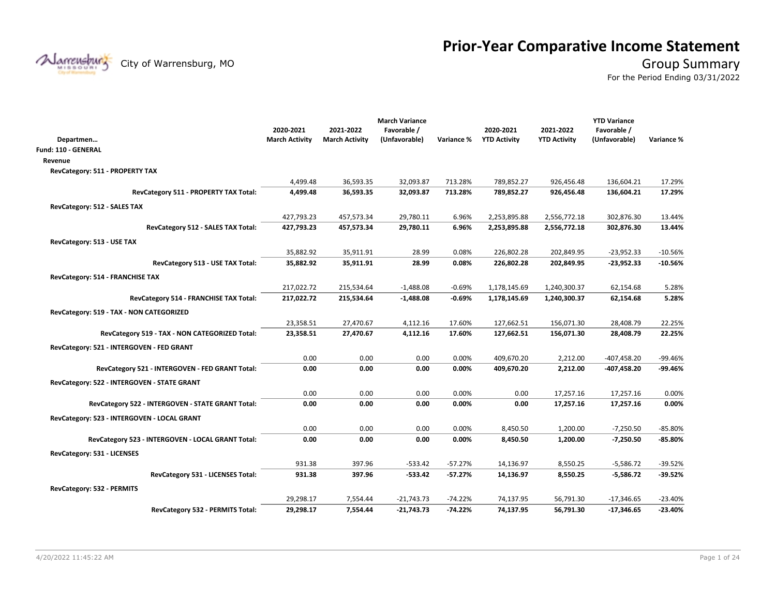# **Prior-Year Comparative Income Statement**

City of Warrensburg, MO **Group Summary** 

For the Period Ending 03/31/2022

|                                                   |                       |                       | <b>March Variance</b> |            |                     |                     | <b>YTD Variance</b> |            |
|---------------------------------------------------|-----------------------|-----------------------|-----------------------|------------|---------------------|---------------------|---------------------|------------|
|                                                   | 2020-2021             | 2021-2022             | Favorable /           |            | 2020-2021           | 2021-2022           | Favorable /         |            |
| Departmen                                         | <b>March Activity</b> | <b>March Activity</b> | (Unfavorable)         | Variance % | <b>YTD Activity</b> | <b>YTD Activity</b> | (Unfavorable)       | Variance % |
| Fund: 110 - GENERAL                               |                       |                       |                       |            |                     |                     |                     |            |
| Revenue                                           |                       |                       |                       |            |                     |                     |                     |            |
| RevCategory: 511 - PROPERTY TAX                   |                       |                       |                       |            |                     |                     |                     |            |
|                                                   | 4,499.48              | 36,593.35             | 32,093.87             | 713.28%    | 789,852.27          | 926,456.48          | 136,604.21          | 17.29%     |
| RevCategory 511 - PROPERTY TAX Total:             | 4,499.48              | 36,593.35             | 32,093.87             | 713.28%    | 789,852.27          | 926,456.48          | 136,604.21          | 17.29%     |
| RevCategory: 512 - SALES TAX                      |                       |                       |                       |            |                     |                     |                     |            |
|                                                   | 427,793.23            | 457,573.34            | 29,780.11             | 6.96%      | 2,253,895.88        | 2,556,772.18        | 302,876.30          | 13.44%     |
| RevCategory 512 - SALES TAX Total:                | 427,793.23            | 457,573.34            | 29,780.11             | 6.96%      | 2,253,895.88        | 2,556,772.18        | 302,876.30          | 13.44%     |
| RevCategory: 513 - USE TAX                        |                       |                       |                       |            |                     |                     |                     |            |
|                                                   | 35,882.92             | 35,911.91             | 28.99                 | 0.08%      | 226,802.28          | 202,849.95          | $-23,952.33$        | $-10.56%$  |
| RevCategory 513 - USE TAX Total:                  | 35,882.92             | 35,911.91             | 28.99                 | 0.08%      | 226,802.28          | 202,849.95          | $-23,952.33$        | $-10.56%$  |
| RevCategory: 514 - FRANCHISE TAX                  |                       |                       |                       |            |                     |                     |                     |            |
|                                                   | 217,022.72            | 215,534.64            | $-1,488.08$           | $-0.69%$   | 1,178,145.69        | 1,240,300.37        | 62,154.68           | 5.28%      |
| RevCategory 514 - FRANCHISE TAX Total:            | 217,022.72            | 215,534.64            | $-1,488.08$           | -0.69%     | 1,178,145.69        | 1,240,300.37        | 62,154.68           | 5.28%      |
| RevCategory: 519 - TAX - NON CATEGORIZED          |                       |                       |                       |            |                     |                     |                     |            |
|                                                   | 23,358.51             | 27,470.67             | 4,112.16              | 17.60%     | 127,662.51          | 156,071.30          | 28,408.79           | 22.25%     |
| RevCategory 519 - TAX - NON CATEGORIZED Total:    | 23,358.51             | 27,470.67             | 4,112.16              | 17.60%     | 127,662.51          | 156,071.30          | 28,408.79           | 22.25%     |
|                                                   |                       |                       |                       |            |                     |                     |                     |            |
| RevCategory: 521 - INTERGOVEN - FED GRANT         | 0.00                  | 0.00                  | 0.00                  | 0.00%      | 409,670.20          | 2,212.00            | -407,458.20         | $-99.46%$  |
| RevCategory 521 - INTERGOVEN - FED GRANT Total:   | 0.00                  | 0.00                  | 0.00                  | 0.00%      | 409,670.20          | 2,212.00            | -407,458.20         | -99.46%    |
|                                                   |                       |                       |                       |            |                     |                     |                     |            |
| RevCategory: 522 - INTERGOVEN - STATE GRANT       |                       |                       |                       |            |                     |                     |                     |            |
|                                                   | 0.00                  | 0.00                  | 0.00                  | 0.00%      | 0.00                | 17,257.16           | 17,257.16           | 0.00%      |
| RevCategory 522 - INTERGOVEN - STATE GRANT Total: | 0.00                  | 0.00                  | 0.00                  | 0.00%      | 0.00                | 17,257.16           | 17,257.16           | 0.00%      |
| RevCategory: 523 - INTERGOVEN - LOCAL GRANT       |                       |                       |                       |            |                     |                     |                     |            |
|                                                   | 0.00                  | 0.00                  | 0.00                  | 0.00%      | 8,450.50            | 1,200.00            | $-7,250.50$         | $-85.80%$  |
| RevCategory 523 - INTERGOVEN - LOCAL GRANT Total: | 0.00                  | 0.00                  | 0.00                  | 0.00%      | 8,450.50            | 1,200.00            | $-7,250.50$         | $-85.80%$  |
| RevCategory: 531 - LICENSES                       |                       |                       |                       |            |                     |                     |                     |            |
|                                                   | 931.38                | 397.96                | $-533.42$             | $-57.27%$  | 14,136.97           | 8,550.25            | $-5,586.72$         | $-39.52%$  |
| RevCategory 531 - LICENSES Total:                 | 931.38                | 397.96                | $-533.42$             | $-57.27%$  | 14,136.97           | 8,550.25            | $-5,586.72$         | $-39.52%$  |
| RevCategory: 532 - PERMITS                        |                       |                       |                       |            |                     |                     |                     |            |
|                                                   | 29,298.17             | 7,554.44              | $-21,743.73$          | $-74.22%$  | 74,137.95           | 56,791.30           | $-17,346.65$        | $-23.40%$  |
| RevCategory 532 - PERMITS Total:                  | 29,298.17             | 7,554.44              | $-21,743.73$          | $-74.22%$  | 74,137.95           | 56,791.30           | $-17,346.65$        | -23.40%    |

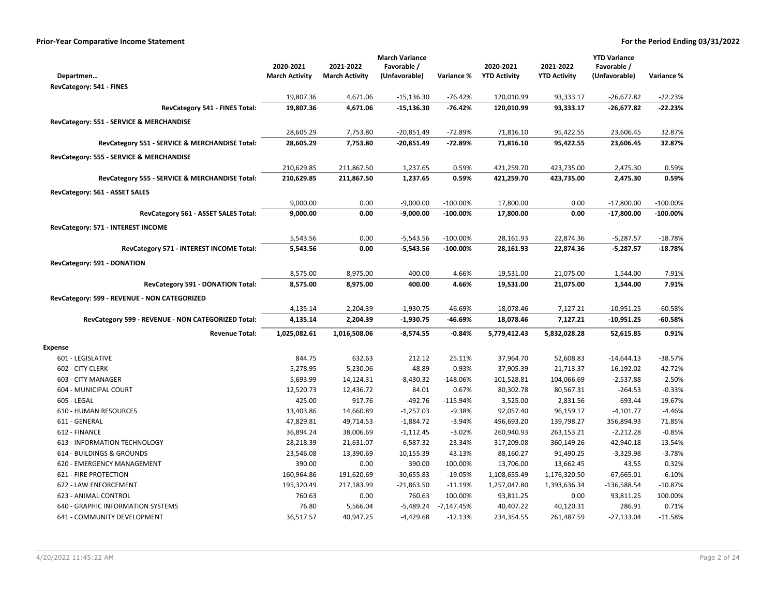|                                                    |                       |                       | <b>March Variance</b> |              |                     |                     | <b>YTD Variance</b> |             |
|----------------------------------------------------|-----------------------|-----------------------|-----------------------|--------------|---------------------|---------------------|---------------------|-------------|
|                                                    | 2020-2021             | 2021-2022             | Favorable /           |              | 2020-2021           | 2021-2022           | Favorable /         |             |
| Departmen                                          | <b>March Activity</b> | <b>March Activity</b> | (Unfavorable)         | Variance %   | <b>YTD Activity</b> | <b>YTD Activity</b> | (Unfavorable)       | Variance %  |
| RevCategory: 541 - FINES                           |                       |                       |                       |              |                     |                     |                     |             |
|                                                    | 19,807.36             | 4,671.06              | $-15,136.30$          | $-76.42%$    | 120,010.99          | 93,333.17           | $-26,677.82$        | -22.23%     |
| RevCategory 541 - FINES Total:                     | 19,807.36             | 4,671.06              | $-15,136.30$          | $-76.42%$    | 120,010.99          | 93,333.17           | $-26,677.82$        | $-22.23%$   |
| RevCategory: 551 - SERVICE & MERCHANDISE           |                       |                       |                       |              |                     |                     |                     |             |
|                                                    | 28,605.29             | 7,753.80              | $-20,851.49$          | $-72.89%$    | 71,816.10           | 95,422.55           | 23,606.45           | 32.87%      |
| RevCategory 551 - SERVICE & MERCHANDISE Total:     | 28,605.29             | 7,753.80              | $-20,851.49$          | $-72.89%$    | 71,816.10           | 95,422.55           | 23,606.45           | 32.87%      |
| RevCategory: 555 - SERVICE & MERCHANDISE           |                       |                       |                       |              |                     |                     |                     |             |
|                                                    | 210,629.85            | 211,867.50            | 1,237.65              | 0.59%        | 421,259.70          | 423,735.00          | 2,475.30            | 0.59%       |
| RevCategory 555 - SERVICE & MERCHANDISE Total:     | 210,629.85            | 211,867.50            | 1,237.65              | 0.59%        | 421,259.70          | 423,735.00          | 2,475.30            | 0.59%       |
| RevCategory: 561 - ASSET SALES                     |                       |                       |                       |              |                     |                     |                     |             |
|                                                    | 9,000.00              | 0.00                  | $-9,000.00$           | $-100.00\%$  | 17,800.00           | 0.00                | $-17,800.00$        | $-100.00%$  |
| RevCategory 561 - ASSET SALES Total:               | 9,000.00              | 0.00                  | $-9,000.00$           | $-100.00%$   | 17,800.00           | 0.00                | $-17,800.00$        | $-100.00\%$ |
| RevCategory: 571 - INTEREST INCOME                 |                       |                       |                       |              |                     |                     |                     |             |
|                                                    | 5,543.56              | 0.00                  | $-5,543.56$           | $-100.00\%$  | 28,161.93           | 22,874.36           | $-5,287.57$         | $-18.78%$   |
| RevCategory 571 - INTEREST INCOME Total:           | 5,543.56              | 0.00                  | $-5,543.56$           | $-100.00\%$  | 28,161.93           | 22,874.36           | $-5,287.57$         | $-18.78%$   |
| RevCategory: 591 - DONATION                        |                       |                       |                       |              |                     |                     |                     |             |
|                                                    | 8,575.00              | 8,975.00              | 400.00                | 4.66%        | 19,531.00           | 21,075.00           | 1,544.00            | 7.91%       |
| RevCategory 591 - DONATION Total:                  | 8,575.00              | 8,975.00              | 400.00                | 4.66%        | 19,531.00           | 21,075.00           | 1,544.00            | 7.91%       |
| RevCategory: 599 - REVENUE - NON CATEGORIZED       |                       |                       |                       |              |                     |                     |                     |             |
|                                                    | 4,135.14              | 2,204.39              | $-1,930.75$           | -46.69%      | 18,078.46           | 7,127.21            | $-10,951.25$        | -60.58%     |
| RevCategory 599 - REVENUE - NON CATEGORIZED Total: | 4,135.14              | 2,204.39              | $-1,930.75$           | -46.69%      | 18,078.46           | 7,127.21            | $-10,951.25$        | -60.58%     |
| <b>Revenue Total:</b>                              | 1,025,082.61          | 1,016,508.06          | $-8,574.55$           | $-0.84%$     | 5,779,412.43        | 5,832,028.28        | 52,615.85           | 0.91%       |
| <b>Expense</b>                                     |                       |                       |                       |              |                     |                     |                     |             |
| 601 - LEGISLATIVE                                  | 844.75                | 632.63                | 212.12                | 25.11%       | 37,964.70           | 52,608.83           | $-14,644.13$        | $-38.57%$   |
| 602 - CITY CLERK                                   | 5,278.95              | 5,230.06              | 48.89                 | 0.93%        | 37,905.39           | 21,713.37           | 16,192.02           | 42.72%      |
| 603 - CITY MANAGER                                 | 5,693.99              | 14,124.31             | $-8,430.32$           | $-148.06%$   | 101,528.81          | 104,066.69          | $-2,537.88$         | $-2.50%$    |
| 604 - MUNICIPAL COURT                              | 12,520.73             | 12,436.72             | 84.01                 | 0.67%        | 80,302.78           | 80,567.31           | $-264.53$           | $-0.33%$    |
| 605 - LEGAL                                        | 425.00                | 917.76                | $-492.76$             | $-115.94%$   | 3,525.00            | 2,831.56            | 693.44              | 19.67%      |
| <b>610 - HUMAN RESOURCES</b>                       | 13,403.86             | 14,660.89             | $-1,257.03$           | $-9.38%$     | 92,057.40           | 96,159.17           | $-4,101.77$         | $-4.46%$    |
| 611 - GENERAL                                      | 47,829.81             | 49,714.53             | $-1,884.72$           | $-3.94%$     | 496,693.20          | 139,798.27          | 356,894.93          | 71.85%      |
| 612 - FINANCE                                      | 36,894.24             | 38,006.69             | $-1,112.45$           | $-3.02%$     | 260,940.93          | 263,153.21          | $-2,212.28$         | $-0.85%$    |
| 613 - INFORMATION TECHNOLOGY                       | 28,218.39             | 21,631.07             | 6,587.32              | 23.34%       | 317,209.08          | 360,149.26          | $-42,940.18$        | $-13.54%$   |
| 614 - BUILDINGS & GROUNDS                          | 23,546.08             | 13,390.69             | 10,155.39             | 43.13%       | 88,160.27           | 91,490.25           | $-3,329.98$         | $-3.78%$    |
| 620 - EMERGENCY MANAGEMENT                         | 390.00                | 0.00                  | 390.00                | 100.00%      | 13,706.00           | 13,662.45           | 43.55               | 0.32%       |
| <b>621 - FIRE PROTECTION</b>                       | 160,964.86            | 191,620.69            | $-30,655.83$          | $-19.05%$    | 1,108,655.49        | 1,176,320.50        | $-67,665.01$        | $-6.10%$    |
| 622 - LAW ENFORCEMENT                              | 195,320.49            | 217,183.99            | $-21,863.50$          | $-11.19%$    | 1,257,047.80        | 1,393,636.34        | -136,588.54         | $-10.87%$   |
| 623 - ANIMAL CONTROL                               | 760.63                | 0.00                  | 760.63                | 100.00%      | 93,811.25           | 0.00                | 93,811.25           | 100.00%     |
| 640 - GRAPHIC INFORMATION SYSTEMS                  | 76.80                 | 5,566.04              | $-5,489.24$           | $-7,147.45%$ | 40,407.22           | 40,120.31           | 286.91              | 0.71%       |
| 641 - COMMUNITY DEVELOPMENT                        | 36,517.57             | 40,947.25             | $-4,429.68$           | $-12.13%$    | 234,354.55          | 261,487.59          | $-27,133.04$        | $-11.58%$   |
|                                                    |                       |                       |                       |              |                     |                     |                     |             |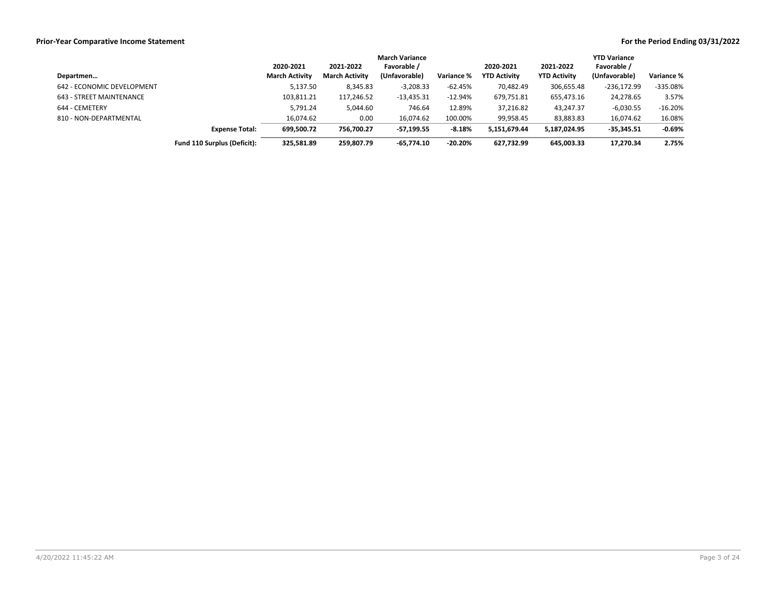|                            |                             | <b>March Variance</b> |                       |               |            |                     |                     | <b>YTD Variance</b> |                   |  |
|----------------------------|-----------------------------|-----------------------|-----------------------|---------------|------------|---------------------|---------------------|---------------------|-------------------|--|
|                            |                             | 2020-2021             | 2021-2022             | Favorable /   |            | 2020-2021           | 2021-2022           | Favorable /         |                   |  |
| Departmen                  |                             | <b>March Activity</b> | <b>March Activity</b> | (Unfavorable) | Variance % | <b>YTD Activity</b> | <b>YTD Activity</b> | (Unfavorable)       | <b>Variance %</b> |  |
| 642 - ECONOMIC DEVELOPMENT |                             | 5,137.50              | 8,345.83              | $-3,208.33$   | $-62.45%$  | 70,482.49           | 306,655.48          | $-236,172.99$       | -335.08%          |  |
| 643 - STREET MAINTENANCE   |                             | 103,811.21            | 117,246.52            | $-13,435.31$  | $-12.94%$  | 679,751.81          | 655,473.16          | 24,278.65           | 3.57%             |  |
| 644 - CEMETERY             |                             | 5,791.24              | 5,044.60              | 746.64        | 12.89%     | 37,216.82           | 43,247.37           | $-6,030.55$         | $-16.20%$         |  |
| 810 - NON-DEPARTMENTAL     |                             | 16,074.62             | 0.00                  | 16.074.62     | 100.00%    | 99,958.45           | 83,883.83           | 16,074.62           | 16.08%            |  |
|                            | <b>Expense Total:</b>       | 699.500.72            | 756.700.27            | -57.199.55    | $-8.18%$   | 5.151.679.44        | 5,187,024.95        | $-35,345.51$        | $-0.69\%$         |  |
|                            | Fund 110 Surplus (Deficit): | 325,581.89            | 259,807.79            | $-65.774.10$  | $-20.20%$  | 627.732.99          | 645.003.33          | 17.270.34           | 2.75%             |  |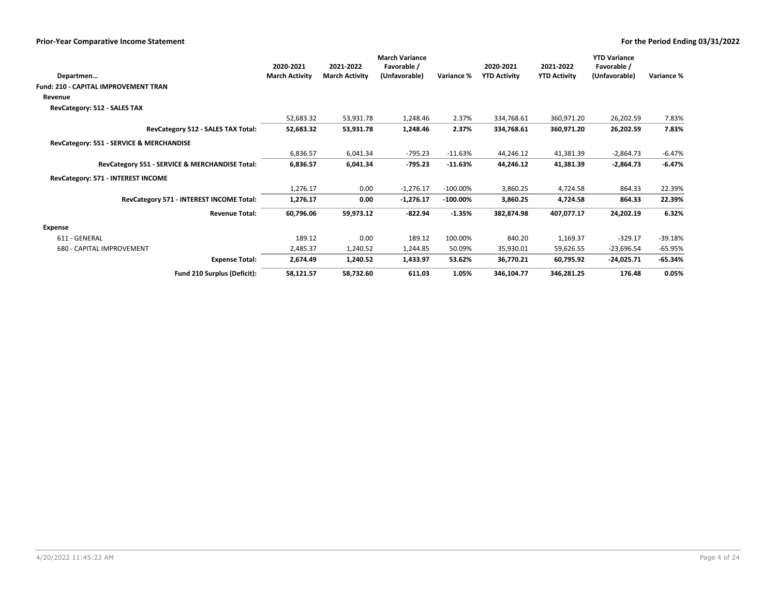|                                                |                       |                       | <b>March Variance</b> |             |                     |                     | <b>YTD Variance</b> |            |
|------------------------------------------------|-----------------------|-----------------------|-----------------------|-------------|---------------------|---------------------|---------------------|------------|
|                                                | 2020-2021             | 2021-2022             | Favorable /           |             | 2020-2021           | 2021-2022           | Favorable /         |            |
| Departmen                                      | <b>March Activity</b> | <b>March Activity</b> | (Unfavorable)         | Variance %  | <b>YTD Activity</b> | <b>YTD Activity</b> | (Unfavorable)       | Variance % |
| Fund: 210 - CAPITAL IMPROVEMENT TRAN           |                       |                       |                       |             |                     |                     |                     |            |
| Revenue                                        |                       |                       |                       |             |                     |                     |                     |            |
| RevCategory: 512 - SALES TAX                   |                       |                       |                       |             |                     |                     |                     |            |
|                                                | 52,683.32             | 53,931.78             | 1,248.46              | 2.37%       | 334,768.61          | 360,971.20          | 26,202.59           | 7.83%      |
| RevCategory 512 - SALES TAX Total:             | 52,683.32             | 53,931.78             | 1,248.46              | 2.37%       | 334,768.61          | 360,971.20          | 26,202.59           | 7.83%      |
| RevCategory: 551 - SERVICE & MERCHANDISE       |                       |                       |                       |             |                     |                     |                     |            |
|                                                | 6,836.57              | 6,041.34              | $-795.23$             | $-11.63%$   | 44,246.12           | 41,381.39           | $-2,864.73$         | $-6.47%$   |
| RevCategory 551 - SERVICE & MERCHANDISE Total: | 6,836.57              | 6,041.34              | $-795.23$             | $-11.63%$   | 44,246.12           | 41,381.39           | $-2,864.73$         | $-6.47%$   |
| RevCategory: 571 - INTEREST INCOME             |                       |                       |                       |             |                     |                     |                     |            |
|                                                | 1,276.17              | 0.00                  | $-1,276.17$           | $-100.00\%$ | 3,860.25            | 4,724.58            | 864.33              | 22.39%     |
| RevCategory 571 - INTEREST INCOME Total:       | 1,276.17              | 0.00                  | $-1,276.17$           | $-100.00\%$ | 3,860.25            | 4,724.58            | 864.33              | 22.39%     |
| <b>Revenue Total:</b>                          | 60,796.06             | 59,973.12             | -822.94               | $-1.35%$    | 382,874.98          | 407,077.17          | 24,202.19           | 6.32%      |
| Expense                                        |                       |                       |                       |             |                     |                     |                     |            |
| 611 - GENERAL                                  | 189.12                | 0.00                  | 189.12                | 100.00%     | 840.20              | 1,169.37            | $-329.17$           | $-39.18%$  |
| 680 - CAPITAL IMPROVEMENT                      | 2,485.37              | 1,240.52              | 1,244.85              | 50.09%      | 35,930.01           | 59,626.55           | $-23,696.54$        | $-65.95%$  |
| <b>Expense Total:</b>                          | 2,674.49              | 1,240.52              | 1,433.97              | 53.62%      | 36,770.21           | 60,795.92           | $-24,025.71$        | $-65.34%$  |
| Fund 210 Surplus (Deficit):                    | 58,121.57             | 58,732.60             | 611.03                | 1.05%       | 346,104.77          | 346,281.25          | 176.48              | 0.05%      |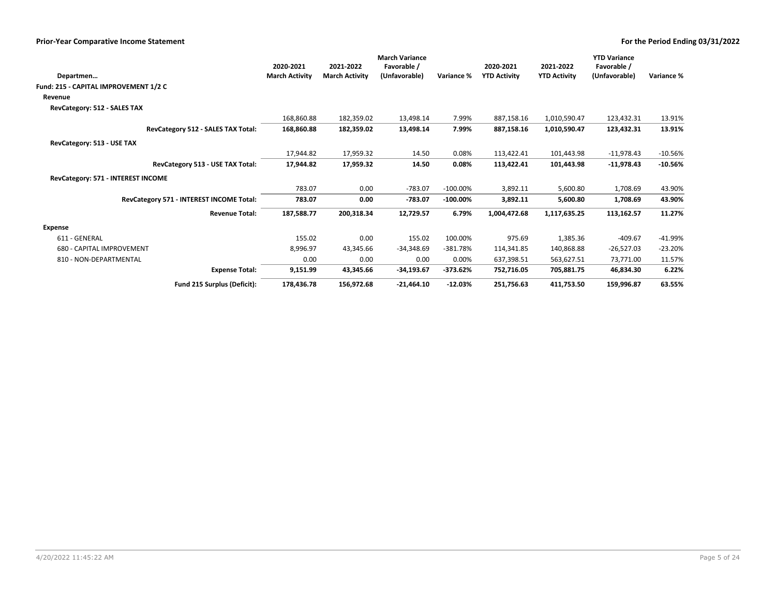| Departmen                                | 2020-2021<br><b>March Activity</b> | 2021-2022<br><b>March Activity</b> | <b>March Variance</b><br>Favorable /<br>(Unfavorable) | Variance %  | 2020-2021<br><b>YTD Activity</b> | 2021-2022<br><b>YTD Activity</b> | <b>YTD Variance</b><br>Favorable /<br>(Unfavorable) | Variance % |
|------------------------------------------|------------------------------------|------------------------------------|-------------------------------------------------------|-------------|----------------------------------|----------------------------------|-----------------------------------------------------|------------|
| Fund: 215 - CAPITAL IMPROVEMENT 1/2 C    |                                    |                                    |                                                       |             |                                  |                                  |                                                     |            |
| Revenue                                  |                                    |                                    |                                                       |             |                                  |                                  |                                                     |            |
| RevCategory: 512 - SALES TAX             |                                    |                                    |                                                       |             |                                  |                                  |                                                     |            |
|                                          | 168,860.88                         | 182,359.02                         | 13,498.14                                             | 7.99%       | 887,158.16                       | 1,010,590.47                     | 123,432.31                                          | 13.91%     |
| RevCategory 512 - SALES TAX Total:       | 168,860.88                         | 182,359.02                         | 13,498.14                                             | 7.99%       | 887,158.16                       | 1,010,590.47                     | 123,432.31                                          | 13.91%     |
| RevCategory: 513 - USE TAX               |                                    |                                    |                                                       |             |                                  |                                  |                                                     |            |
|                                          | 17,944.82                          | 17,959.32                          | 14.50                                                 | 0.08%       | 113,422.41                       | 101,443.98                       | $-11,978.43$                                        | $-10.56%$  |
| RevCategory 513 - USE TAX Total:         | 17,944.82                          | 17,959.32                          | 14.50                                                 | 0.08%       | 113,422.41                       | 101,443.98                       | $-11,978.43$                                        | $-10.56%$  |
| RevCategory: 571 - INTEREST INCOME       |                                    |                                    |                                                       |             |                                  |                                  |                                                     |            |
|                                          | 783.07                             | 0.00                               | $-783.07$                                             | $-100.00\%$ | 3,892.11                         | 5,600.80                         | 1,708.69                                            | 43.90%     |
| RevCategory 571 - INTEREST INCOME Total: | 783.07                             | 0.00                               | $-783.07$                                             | $-100.00%$  | 3,892.11                         | 5,600.80                         | 1,708.69                                            | 43.90%     |
| <b>Revenue Total:</b>                    | 187,588.77                         | 200,318.34                         | 12,729.57                                             | 6.79%       | 1,004,472.68                     | 1,117,635.25                     | 113,162.57                                          | 11.27%     |
| Expense                                  |                                    |                                    |                                                       |             |                                  |                                  |                                                     |            |
| 611 - GENERAL                            | 155.02                             | 0.00                               | 155.02                                                | 100.00%     | 975.69                           | 1,385.36                         | $-409.67$                                           | -41.99%    |
| 680 - CAPITAL IMPROVEMENT                | 8,996.97                           | 43,345.66                          | $-34,348.69$                                          | $-381.78%$  | 114,341.85                       | 140,868.88                       | $-26,527.03$                                        | $-23.20%$  |
| 810 - NON-DEPARTMENTAL                   | 0.00                               | 0.00                               | 0.00                                                  | 0.00%       | 637,398.51                       | 563,627.51                       | 73,771.00                                           | 11.57%     |
| <b>Expense Total:</b>                    | 9,151.99                           | 43,345.66                          | $-34,193.67$                                          | $-373.62%$  | 752,716.05                       | 705,881.75                       | 46,834.30                                           | 6.22%      |
| Fund 215 Surplus (Deficit):              | 178,436.78                         | 156,972.68                         | $-21,464.10$                                          | $-12.03%$   | 251,756.63                       | 411,753.50                       | 159,996.87                                          | 63.55%     |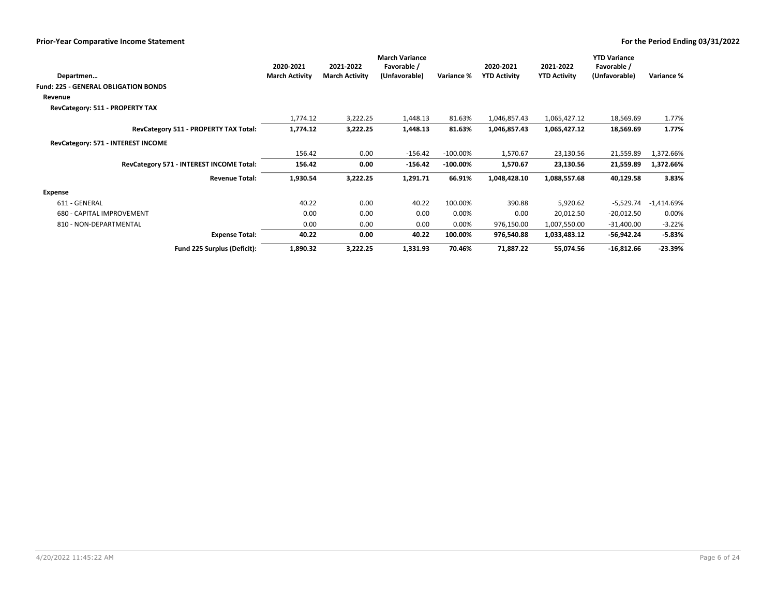|                                             |                       |                       | <b>March Variance</b> |             |                     | <b>YTD Variance</b> |               |            |
|---------------------------------------------|-----------------------|-----------------------|-----------------------|-------------|---------------------|---------------------|---------------|------------|
|                                             | 2020-2021             | 2021-2022             | Favorable /           |             | 2020-2021           | 2021-2022           | Favorable /   |            |
| Departmen                                   | <b>March Activity</b> | <b>March Activity</b> | (Unfavorable)         | Variance %  | <b>YTD Activity</b> | <b>YTD Activity</b> | (Unfavorable) | Variance % |
| <b>Fund: 225 - GENERAL OBLIGATION BONDS</b> |                       |                       |                       |             |                     |                     |               |            |
| Revenue                                     |                       |                       |                       |             |                     |                     |               |            |
| RevCategory: 511 - PROPERTY TAX             |                       |                       |                       |             |                     |                     |               |            |
|                                             | 1,774.12              | 3,222.25              | 1,448.13              | 81.63%      | 1,046,857.43        | 1,065,427.12        | 18,569.69     | 1.77%      |
| RevCategory 511 - PROPERTY TAX Total:       | 1,774.12              | 3,222.25              | 1,448.13              | 81.63%      | 1,046,857.43        | 1,065,427.12        | 18,569.69     | 1.77%      |
| RevCategory: 571 - INTEREST INCOME          |                       |                       |                       |             |                     |                     |               |            |
|                                             | 156.42                | 0.00                  | $-156.42$             | $-100.00\%$ | 1,570.67            | 23,130.56           | 21,559.89     | 1,372.66%  |
| RevCategory 571 - INTEREST INCOME Total:    | 156.42                | 0.00                  | $-156.42$             | $-100.00\%$ | 1,570.67            | 23,130.56           | 21,559.89     | 1,372.66%  |
| <b>Revenue Total:</b>                       | 1,930.54              | 3,222.25              | 1,291.71              | 66.91%      | 1,048,428.10        | 1,088,557.68        | 40,129.58     | 3.83%      |
| Expense                                     |                       |                       |                       |             |                     |                     |               |            |
| 611 - GENERAL                               | 40.22                 | 0.00                  | 40.22                 | 100.00%     | 390.88              | 5,920.62            | $-5,529.74$   | -1,414.69% |
| 680 - CAPITAL IMPROVEMENT                   | 0.00                  | 0.00                  | 0.00                  | 0.00%       | 0.00                | 20,012.50           | $-20,012.50$  | 0.00%      |
| 810 - NON-DEPARTMENTAL                      | 0.00                  | 0.00                  | 0.00                  | 0.00%       | 976,150.00          | 1,007,550.00        | $-31,400.00$  | $-3.22%$   |
| <b>Expense Total:</b>                       | 40.22                 | 0.00                  | 40.22                 | 100.00%     | 976,540.88          | 1,033,483.12        | -56,942.24    | $-5.83%$   |
| Fund 225 Surplus (Deficit):                 | 1,890.32              | 3,222.25              | 1,331.93              | 70.46%      | 71,887.22           | 55,074.56           | $-16,812.66$  | $-23.39%$  |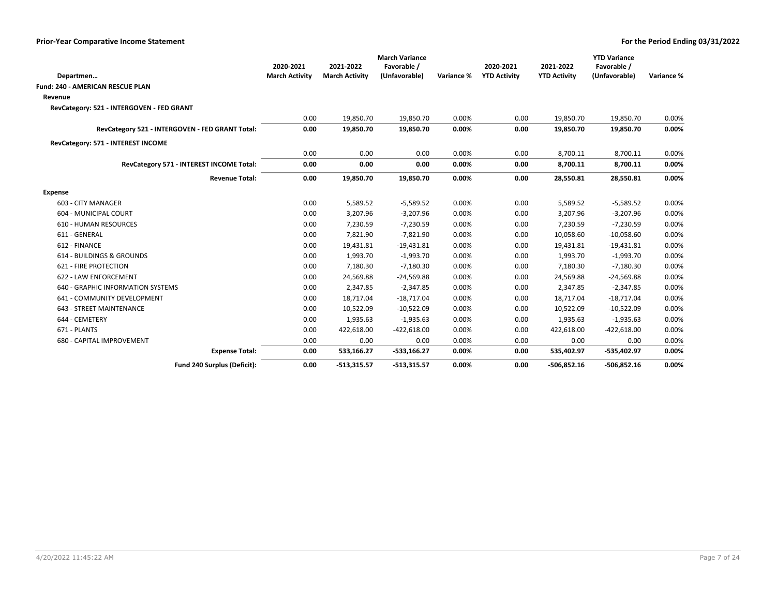|                                                 | <b>March Variance</b> |                       |               |            |                     | <b>YTD Variance</b> |               |            |  |
|-------------------------------------------------|-----------------------|-----------------------|---------------|------------|---------------------|---------------------|---------------|------------|--|
|                                                 | 2020-2021             | 2021-2022             | Favorable /   |            | 2020-2021           | 2021-2022           | Favorable /   |            |  |
| Departmen                                       | <b>March Activity</b> | <b>March Activity</b> | (Unfavorable) | Variance % | <b>YTD Activity</b> | <b>YTD Activity</b> | (Unfavorable) | Variance % |  |
| <b>Fund: 240 - AMERICAN RESCUE PLAN</b>         |                       |                       |               |            |                     |                     |               |            |  |
| Revenue                                         |                       |                       |               |            |                     |                     |               |            |  |
| RevCategory: 521 - INTERGOVEN - FED GRANT       |                       |                       |               |            |                     |                     |               |            |  |
|                                                 | 0.00                  | 19,850.70             | 19,850.70     | 0.00%      | 0.00                | 19,850.70           | 19,850.70     | 0.00%      |  |
| RevCategory 521 - INTERGOVEN - FED GRANT Total: | 0.00                  | 19,850.70             | 19,850.70     | 0.00%      | 0.00                | 19,850.70           | 19,850.70     | 0.00%      |  |
| RevCategory: 571 - INTEREST INCOME              |                       |                       |               |            |                     |                     |               |            |  |
|                                                 | 0.00                  | 0.00                  | 0.00          | 0.00%      | 0.00                | 8,700.11            | 8,700.11      | 0.00%      |  |
| RevCategory 571 - INTEREST INCOME Total:        | 0.00                  | 0.00                  | 0.00          | 0.00%      | 0.00                | 8,700.11            | 8,700.11      | $0.00\%$   |  |
| <b>Revenue Total:</b>                           | 0.00                  | 19,850.70             | 19,850.70     | 0.00%      | 0.00                | 28,550.81           | 28,550.81     | $0.00\%$   |  |
| <b>Expense</b>                                  |                       |                       |               |            |                     |                     |               |            |  |
| 603 - CITY MANAGER                              | 0.00                  | 5,589.52              | $-5,589.52$   | 0.00%      | 0.00                | 5,589.52            | $-5,589.52$   | 0.00%      |  |
| 604 - MUNICIPAL COURT                           | 0.00                  | 3,207.96              | $-3,207.96$   | 0.00%      | 0.00                | 3,207.96            | $-3,207.96$   | 0.00%      |  |
| <b>610 - HUMAN RESOURCES</b>                    | 0.00                  | 7,230.59              | $-7,230.59$   | 0.00%      | 0.00                | 7,230.59            | $-7,230.59$   | 0.00%      |  |
| 611 - GENERAL                                   | 0.00                  | 7,821.90              | $-7,821.90$   | 0.00%      | 0.00                | 10,058.60           | $-10,058.60$  | 0.00%      |  |
| 612 - FINANCE                                   | 0.00                  | 19,431.81             | $-19,431.81$  | 0.00%      | 0.00                | 19,431.81           | $-19,431.81$  | 0.00%      |  |
| 614 - BUILDINGS & GROUNDS                       | 0.00                  | 1,993.70              | $-1,993.70$   | 0.00%      | 0.00                | 1,993.70            | $-1,993.70$   | 0.00%      |  |
| <b>621 - FIRE PROTECTION</b>                    | 0.00                  | 7,180.30              | $-7,180.30$   | 0.00%      | 0.00                | 7,180.30            | $-7,180.30$   | 0.00%      |  |
| 622 - LAW ENFORCEMENT                           | 0.00                  | 24,569.88             | $-24,569.88$  | 0.00%      | 0.00                | 24,569.88           | $-24,569.88$  | 0.00%      |  |
| 640 - GRAPHIC INFORMATION SYSTEMS               | 0.00                  | 2,347.85              | $-2,347.85$   | 0.00%      | 0.00                | 2,347.85            | $-2,347.85$   | 0.00%      |  |
| 641 - COMMUNITY DEVELOPMENT                     | 0.00                  | 18,717.04             | $-18,717.04$  | 0.00%      | 0.00                | 18,717.04           | $-18,717.04$  | 0.00%      |  |
| <b>643 - STREET MAINTENANCE</b>                 | 0.00                  | 10,522.09             | $-10,522.09$  | 0.00%      | 0.00                | 10,522.09           | $-10,522.09$  | 0.00%      |  |
| 644 - CEMETERY                                  | 0.00                  | 1,935.63              | $-1,935.63$   | 0.00%      | 0.00                | 1,935.63            | $-1,935.63$   | 0.00%      |  |
| 671 - PLANTS                                    | 0.00                  | 422,618.00            | $-422,618.00$ | 0.00%      | 0.00                | 422,618.00          | $-422,618.00$ | 0.00%      |  |
| 680 - CAPITAL IMPROVEMENT                       | 0.00                  | 0.00                  | 0.00          | 0.00%      | 0.00                | 0.00                | 0.00          | 0.00%      |  |
| <b>Expense Total:</b>                           | 0.00                  | 533,166.27            | $-533,166.27$ | 0.00%      | 0.00                | 535,402.97          | -535,402.97   | $0.00\%$   |  |
| Fund 240 Surplus (Deficit):                     | 0.00                  | $-513.315.57$         | $-513,315.57$ | 0.00%      | 0.00                | $-506,852.16$       | $-506,852.16$ | 0.00%      |  |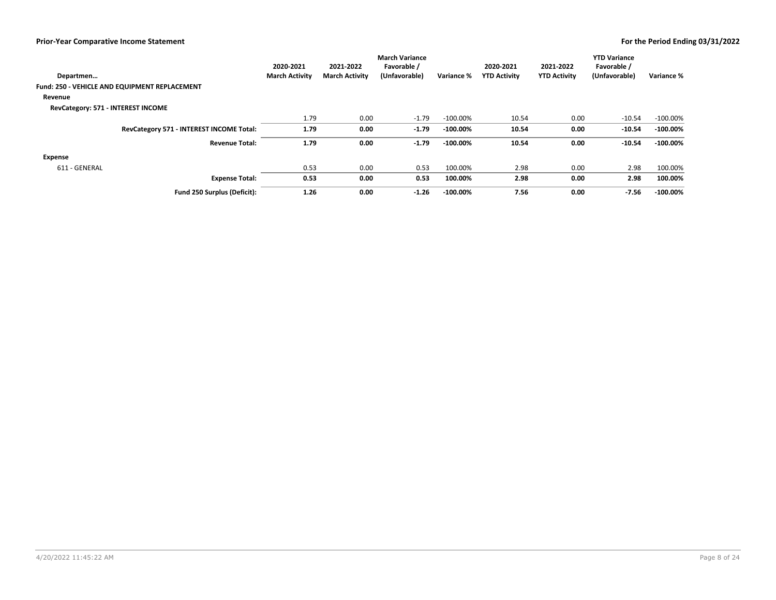|                                               | 2020-2021             | 2021-2022             | <b>March Variance</b><br>Favorable / |             | 2020-2021           | 2021-2022           | <b>YTD Variance</b><br>Favorable / |             |
|-----------------------------------------------|-----------------------|-----------------------|--------------------------------------|-------------|---------------------|---------------------|------------------------------------|-------------|
| Departmen                                     | <b>March Activity</b> | <b>March Activity</b> | (Unfavorable)                        | Variance %  | <b>YTD Activity</b> | <b>YTD Activity</b> | (Unfavorable)                      | Variance %  |
| Fund: 250 - VEHICLE AND EQUIPMENT REPLACEMENT |                       |                       |                                      |             |                     |                     |                                    |             |
| Revenue                                       |                       |                       |                                      |             |                     |                     |                                    |             |
| RevCategory: 571 - INTEREST INCOME            |                       |                       |                                      |             |                     |                     |                                    |             |
|                                               | 1.79                  | 0.00                  | $-1.79$                              | $-100.00\%$ | 10.54               | 0.00                | $-10.54$                           | $-100.00\%$ |
| RevCategory 571 - INTEREST INCOME Total:      | 1.79                  | 0.00                  | $-1.79$                              | $-100.00\%$ | 10.54               | 0.00                | $-10.54$                           | $-100.00\%$ |
| <b>Revenue Total:</b>                         | 1.79                  | 0.00                  | $-1.79$                              | $-100.00\%$ | 10.54               | 0.00                | $-10.54$                           | $-100.00\%$ |
| Expense                                       |                       |                       |                                      |             |                     |                     |                                    |             |
| 611 - GENERAL                                 | 0.53                  | 0.00                  | 0.53                                 | 100.00%     | 2.98                | 0.00                | 2.98                               | 100.00%     |
| <b>Expense Total:</b>                         | 0.53                  | 0.00                  | 0.53                                 | 100.00%     | 2.98                | 0.00                | 2.98                               | 100.00%     |
| Fund 250 Surplus (Deficit):                   | 1.26                  | 0.00                  | $-1.26$                              | $-100.00\%$ | 7.56                | 0.00                | $-7.56$                            | $-100.00\%$ |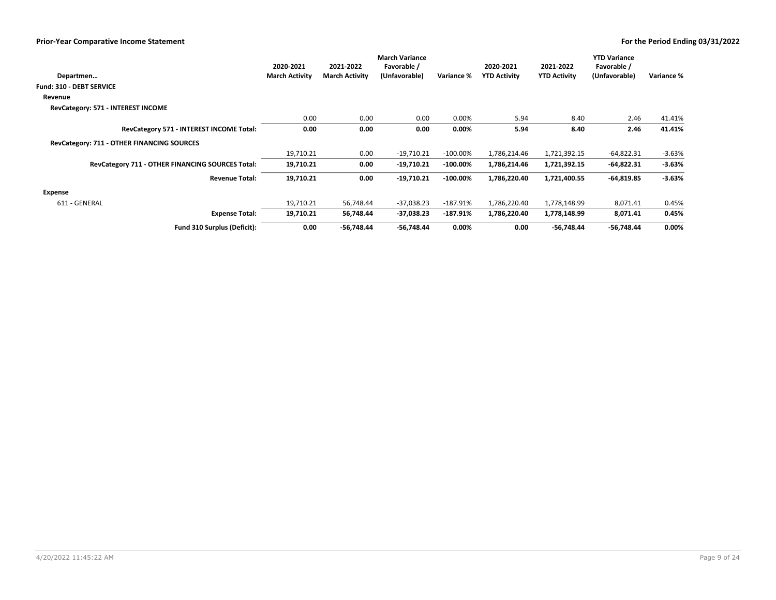|                                                  | 2020-2021             | 2021-2022             | <b>March Variance</b><br>Favorable / |             | 2020-2021           | 2021-2022           | <b>YTD Variance</b><br>Favorable / |            |
|--------------------------------------------------|-----------------------|-----------------------|--------------------------------------|-------------|---------------------|---------------------|------------------------------------|------------|
| Departmen                                        | <b>March Activity</b> | <b>March Activity</b> | (Unfavorable)                        | Variance %  | <b>YTD Activity</b> | <b>YTD Activity</b> | (Unfavorable)                      | Variance % |
| <b>Fund: 310 - DEBT SERVICE</b>                  |                       |                       |                                      |             |                     |                     |                                    |            |
| Revenue                                          |                       |                       |                                      |             |                     |                     |                                    |            |
| RevCategory: 571 - INTEREST INCOME               |                       |                       |                                      |             |                     |                     |                                    |            |
|                                                  | 0.00                  | 0.00                  | 0.00                                 | 0.00%       | 5.94                | 8.40                | 2.46                               | 41.41%     |
| RevCategory 571 - INTEREST INCOME Total:         | 0.00                  | 0.00                  | 0.00                                 | $0.00\%$    | 5.94                | 8.40                | 2.46                               | 41.41%     |
| RevCategory: 711 - OTHER FINANCING SOURCES       |                       |                       |                                      |             |                     |                     |                                    |            |
|                                                  | 19,710.21             | 0.00                  | $-19,710.21$                         | $-100.00\%$ | 1,786,214.46        | 1,721,392.15        | $-64,822.31$                       | $-3.63%$   |
| RevCategory 711 - OTHER FINANCING SOURCES Total: | 19,710.21             | 0.00                  | $-19,710.21$                         | $-100.00\%$ | 1,786,214.46        | 1,721,392.15        | $-64,822.31$                       | $-3.63%$   |
| <b>Revenue Total:</b>                            | 19,710.21             | 0.00                  | $-19,710.21$                         | $-100.00\%$ | 1,786,220.40        | 1,721,400.55        | $-64,819.85$                       | $-3.63%$   |
| Expense                                          |                       |                       |                                      |             |                     |                     |                                    |            |
| 611 - GENERAL                                    | 19,710.21             | 56,748.44             | $-37,038.23$                         | $-187.91%$  | 1,786,220.40        | 1,778,148.99        | 8,071.41                           | 0.45%      |
| <b>Expense Total:</b>                            | 19,710.21             | 56,748.44             | $-37,038.23$                         | $-187.91%$  | 1,786,220.40        | 1,778,148.99        | 8,071.41                           | 0.45%      |
| Fund 310 Surplus (Deficit):                      | 0.00                  | $-56,748.44$          | $-56,748.44$                         | $0.00\%$    | 0.00                | -56,748.44          | -56,748.44                         | $0.00\%$   |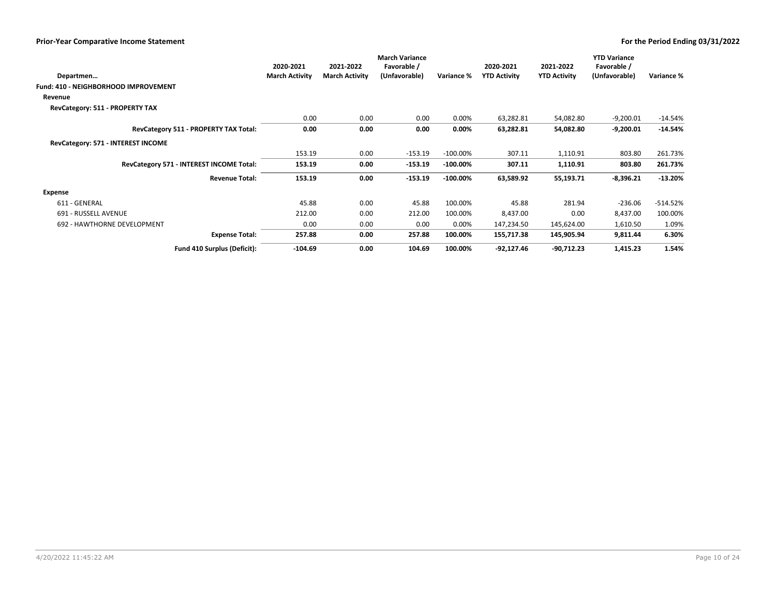|                                             |                       |                       | <b>March Variance</b> |             |                     |                     | <b>YTD Variance</b> |            |
|---------------------------------------------|-----------------------|-----------------------|-----------------------|-------------|---------------------|---------------------|---------------------|------------|
|                                             | 2020-2021             | 2021-2022             | Favorable /           |             | 2020-2021           | 2021-2022           | Favorable /         |            |
| Departmen                                   | <b>March Activity</b> | <b>March Activity</b> | (Unfavorable)         | Variance %  | <b>YTD Activity</b> | <b>YTD Activity</b> | (Unfavorable)       | Variance % |
| <b>Fund: 410 - NEIGHBORHOOD IMPROVEMENT</b> |                       |                       |                       |             |                     |                     |                     |            |
| Revenue                                     |                       |                       |                       |             |                     |                     |                     |            |
| RevCategory: 511 - PROPERTY TAX             |                       |                       |                       |             |                     |                     |                     |            |
|                                             | 0.00                  | 0.00                  | 0.00                  | 0.00%       | 63,282.81           | 54,082.80           | $-9,200.01$         | $-14.54%$  |
| RevCategory 511 - PROPERTY TAX Total:       | 0.00                  | 0.00                  | 0.00                  | $0.00\%$    | 63,282.81           | 54,082.80           | $-9,200.01$         | $-14.54%$  |
| RevCategory: 571 - INTEREST INCOME          |                       |                       |                       |             |                     |                     |                     |            |
|                                             | 153.19                | 0.00                  | $-153.19$             | $-100.00\%$ | 307.11              | 1,110.91            | 803.80              | 261.73%    |
| RevCategory 571 - INTEREST INCOME Total:    | 153.19                | 0.00                  | $-153.19$             | $-100.00\%$ | 307.11              | 1,110.91            | 803.80              | 261.73%    |
| <b>Revenue Total:</b>                       | 153.19                | 0.00                  | $-153.19$             | $-100.00\%$ | 63,589.92           | 55,193.71           | $-8,396.21$         | $-13.20%$  |
| Expense                                     |                       |                       |                       |             |                     |                     |                     |            |
| 611 - GENERAL                               | 45.88                 | 0.00                  | 45.88                 | 100.00%     | 45.88               | 281.94              | $-236.06$           | $-514.52%$ |
| 691 - RUSSELL AVENUE                        | 212.00                | 0.00                  | 212.00                | 100.00%     | 8,437.00            | 0.00                | 8,437.00            | 100.00%    |
| 692 - HAWTHORNE DEVELOPMENT                 | 0.00                  | 0.00                  | 0.00                  | 0.00%       | 147,234.50          | 145,624.00          | 1,610.50            | 1.09%      |
| <b>Expense Total:</b>                       | 257.88                | 0.00                  | 257.88                | 100.00%     | 155,717.38          | 145,905.94          | 9,811.44            | 6.30%      |
| Fund 410 Surplus (Deficit):                 | $-104.69$             | 0.00                  | 104.69                | 100.00%     | $-92,127.46$        | $-90,712.23$        | 1,415.23            | 1.54%      |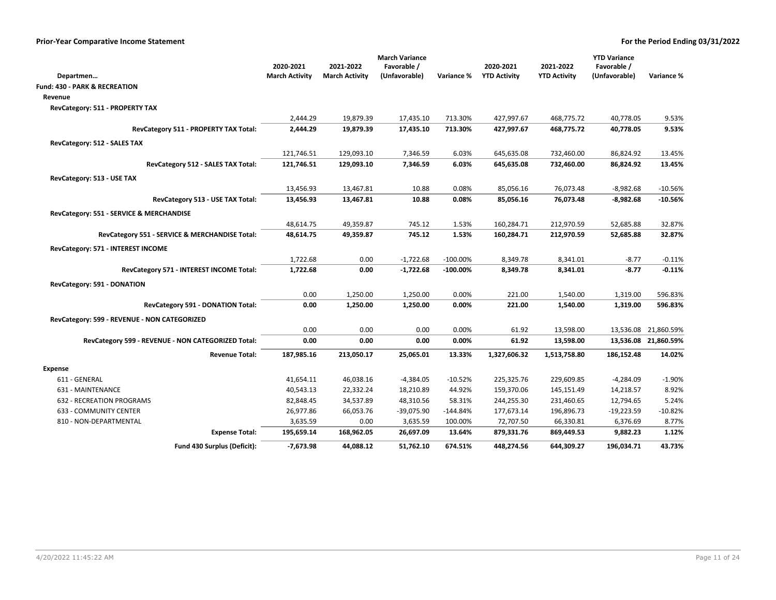|                                                       |                       |                       | <b>March Variance</b>  |                    |                     |                          | <b>YTD Variance</b>    |                      |
|-------------------------------------------------------|-----------------------|-----------------------|------------------------|--------------------|---------------------|--------------------------|------------------------|----------------------|
|                                                       | 2020-2021             | 2021-2022             | Favorable /            |                    | 2020-2021           | 2021-2022                | Favorable /            | Variance %           |
| Departmen<br><b>Fund: 430 - PARK &amp; RECREATION</b> | <b>March Activity</b> | <b>March Activity</b> | (Unfavorable)          | <b>Variance %</b>  | <b>YTD Activity</b> | <b>YTD Activity</b>      | (Unfavorable)          |                      |
|                                                       |                       |                       |                        |                    |                     |                          |                        |                      |
| Revenue                                               |                       |                       |                        |                    |                     |                          |                        |                      |
| RevCategory: 511 - PROPERTY TAX                       |                       | 19,879.39             |                        |                    | 427,997.67          |                          |                        | 9.53%                |
| RevCategory 511 - PROPERTY TAX Total:                 | 2,444.29<br>2,444.29  | 19,879.39             | 17,435.10<br>17,435.10 | 713.30%<br>713.30% | 427,997.67          | 468,775.72<br>468,775.72 | 40,778.05<br>40,778.05 | 9.53%                |
|                                                       |                       |                       |                        |                    |                     |                          |                        |                      |
| RevCategory: 512 - SALES TAX                          |                       |                       |                        |                    |                     |                          |                        |                      |
|                                                       | 121,746.51            | 129,093.10            | 7,346.59               | 6.03%              | 645,635.08          | 732,460.00               | 86,824.92              | 13.45%               |
| RevCategory 512 - SALES TAX Total:                    | 121,746.51            | 129,093.10            | 7,346.59               | 6.03%              | 645,635.08          | 732,460.00               | 86,824.92              | 13.45%               |
| RevCategory: 513 - USE TAX                            |                       |                       |                        |                    |                     |                          |                        |                      |
|                                                       | 13,456.93             | 13,467.81             | 10.88                  | 0.08%              | 85,056.16           | 76,073.48                | $-8,982.68$            | $-10.56%$            |
| RevCategory 513 - USE TAX Total:                      | 13,456.93             | 13,467.81             | 10.88                  | 0.08%              | 85,056.16           | 76,073.48                | $-8,982.68$            | $-10.56%$            |
| RevCategory: 551 - SERVICE & MERCHANDISE              |                       |                       |                        |                    |                     |                          |                        |                      |
|                                                       | 48,614.75             | 49,359.87             | 745.12                 | 1.53%              | 160,284.71          | 212,970.59               | 52,685.88              | 32.87%               |
| RevCategory 551 - SERVICE & MERCHANDISE Total:        | 48,614.75             | 49,359.87             | 745.12                 | 1.53%              | 160,284.71          | 212,970.59               | 52,685.88              | 32.87%               |
| RevCategory: 571 - INTEREST INCOME                    |                       |                       |                        |                    |                     |                          |                        |                      |
|                                                       | 1,722.68              | 0.00                  | $-1,722.68$            | $-100.00\%$        | 8,349.78            | 8,341.01                 | $-8.77$                | $-0.11%$             |
| RevCategory 571 - INTEREST INCOME Total:              | 1,722.68              | 0.00                  | $-1,722.68$            | $-100.00\%$        | 8,349.78            | 8,341.01                 | $-8.77$                | $-0.11%$             |
|                                                       |                       |                       |                        |                    |                     |                          |                        |                      |
| RevCategory: 591 - DONATION                           |                       |                       |                        |                    |                     |                          |                        |                      |
|                                                       | 0.00                  | 1,250.00              | 1,250.00               | 0.00%              | 221.00              | 1,540.00                 | 1,319.00               | 596.83%              |
| RevCategory 591 - DONATION Total:                     | 0.00                  | 1,250.00              | 1,250.00               | 0.00%              | 221.00              | 1,540.00                 | 1,319.00               | 596.83%              |
| RevCategory: 599 - REVENUE - NON CATEGORIZED          |                       |                       |                        |                    |                     |                          |                        |                      |
|                                                       | 0.00                  | 0.00                  | 0.00                   | 0.00%              | 61.92               | 13,598.00                |                        | 13,536.08 21,860.59% |
| RevCategory 599 - REVENUE - NON CATEGORIZED Total:    | 0.00                  | 0.00                  | 0.00                   | 0.00%              | 61.92               | 13,598.00                |                        | 13,536.08 21,860.59% |
| <b>Revenue Total:</b>                                 | 187,985.16            | 213,050.17            | 25,065.01              | 13.33%             | 1,327,606.32        | 1,513,758.80             | 186,152.48             | 14.02%               |
| <b>Expense</b>                                        |                       |                       |                        |                    |                     |                          |                        |                      |
| 611 - GENERAL                                         | 41,654.11             | 46,038.16             | $-4,384.05$            | $-10.52%$          | 225,325.76          | 229,609.85               | $-4,284.09$            | $-1.90%$             |
| 631 - MAINTENANCE                                     | 40,543.13             | 22,332.24             | 18,210.89              | 44.92%             | 159,370.06          | 145,151.49               | 14,218.57              | 8.92%                |
| 632 - RECREATION PROGRAMS                             | 82,848.45             | 34,537.89             | 48,310.56              | 58.31%             | 244,255.30          | 231,460.65               | 12,794.65              | 5.24%                |
| 633 - COMMUNITY CENTER                                | 26,977.86             | 66,053.76             | $-39,075.90$           | $-144.84%$         | 177,673.14          | 196,896.73               | $-19,223.59$           | $-10.82%$            |
| 810 - NON-DEPARTMENTAL                                | 3,635.59              | 0.00                  | 3,635.59               | 100.00%            | 72,707.50           | 66,330.81                | 6,376.69               | 8.77%                |
| <b>Expense Total:</b>                                 | 195,659.14            | 168,962.05            | 26,697.09              | 13.64%             | 879,331.76          | 869,449.53               | 9,882.23               | 1.12%                |
| Fund 430 Surplus (Deficit):                           | $-7.673.98$           | 44,088.12             | 51,762.10              | 674.51%            | 448,274.56          | 644,309.27               | 196.034.71             | 43.73%               |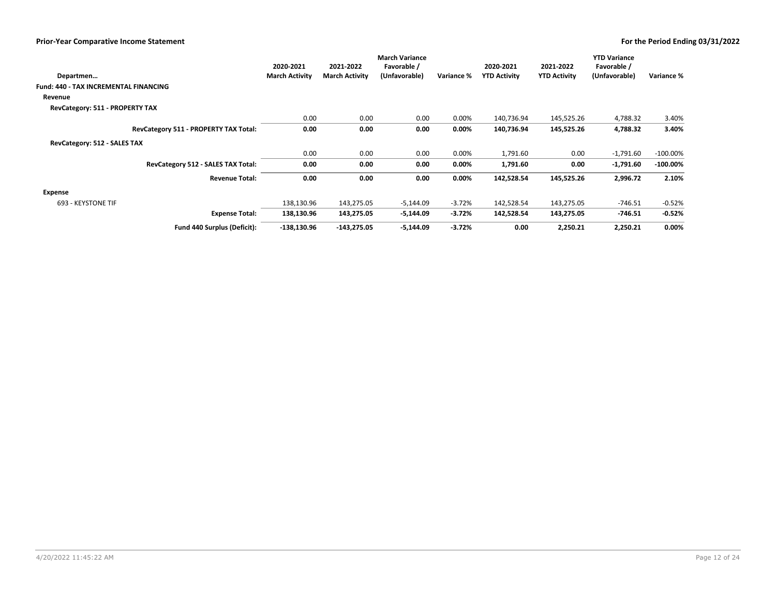|                                              | 2020-2021             | 2021-2022             | <b>March Variance</b><br>Favorable / |            | 2020-2021           | 2021-2022           | <b>YTD Variance</b><br>Favorable / |             |
|----------------------------------------------|-----------------------|-----------------------|--------------------------------------|------------|---------------------|---------------------|------------------------------------|-------------|
| Departmen                                    | <b>March Activity</b> | <b>March Activity</b> | (Unfavorable)                        | Variance % | <b>YTD Activity</b> | <b>YTD Activity</b> | (Unfavorable)                      | Variance %  |
| <b>Fund: 440 - TAX INCREMENTAL FINANCING</b> |                       |                       |                                      |            |                     |                     |                                    |             |
| Revenue                                      |                       |                       |                                      |            |                     |                     |                                    |             |
| RevCategory: 511 - PROPERTY TAX              |                       |                       |                                      |            |                     |                     |                                    |             |
|                                              | 0.00                  | 0.00                  | 0.00                                 | 0.00%      | 140,736.94          | 145,525.26          | 4,788.32                           | 3.40%       |
| RevCategory 511 - PROPERTY TAX Total:        | 0.00                  | 0.00                  | 0.00                                 | $0.00\%$   | 140,736.94          | 145,525.26          | 4,788.32                           | 3.40%       |
| RevCategory: 512 - SALES TAX                 |                       |                       |                                      |            |                     |                     |                                    |             |
|                                              | 0.00                  | 0.00                  | 0.00                                 | 0.00%      | 1,791.60            | 0.00                | $-1,791.60$                        | $-100.00\%$ |
| RevCategory 512 - SALES TAX Total:           | 0.00                  | 0.00                  | 0.00                                 | $0.00\%$   | 1,791.60            | 0.00                | $-1,791.60$                        | $-100.00\%$ |
| <b>Revenue Total:</b>                        | 0.00                  | 0.00                  | 0.00                                 | $0.00\%$   | 142,528.54          | 145,525.26          | 2,996.72                           | 2.10%       |
| Expense                                      |                       |                       |                                      |            |                     |                     |                                    |             |
| 693 - KEYSTONE TIF                           | 138,130.96            | 143,275.05            | $-5,144.09$                          | $-3.72%$   | 142,528.54          | 143,275.05          | $-746.51$                          | $-0.52%$    |
| <b>Expense Total:</b>                        | 138,130.96            | 143,275.05            | $-5,144.09$                          | $-3.72%$   | 142,528.54          | 143,275.05          | $-746.51$                          | $-0.52%$    |
| Fund 440 Surplus (Deficit):                  | $-138,130.96$         | $-143,275.05$         | $-5,144.09$                          | $-3.72%$   | 0.00                | 2,250.21            | 2,250.21                           | 0.00%       |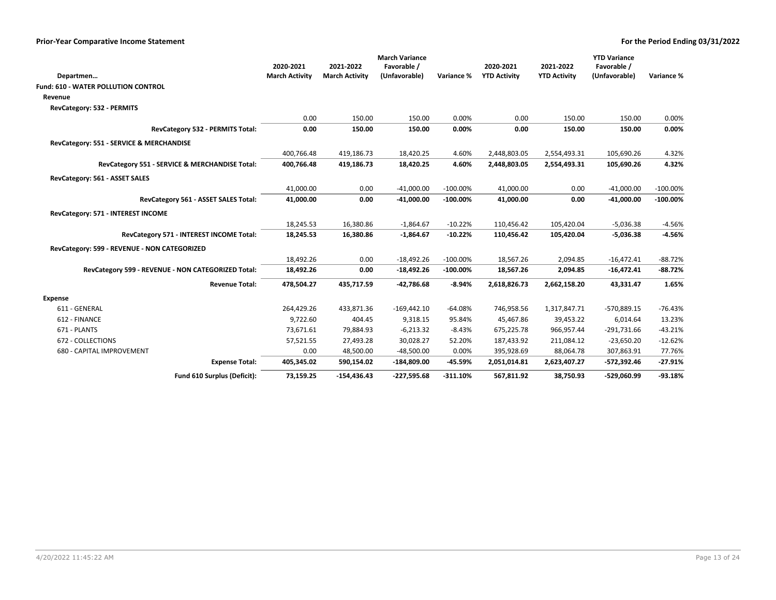|                                                    | <b>March Variance</b> |                       |                        |                |                              |                              |                          |                |
|----------------------------------------------------|-----------------------|-----------------------|------------------------|----------------|------------------------------|------------------------------|--------------------------|----------------|
|                                                    | 2020-2021             | 2021-2022             | Favorable /            |                | 2020-2021                    | 2021-2022                    | Favorable /              |                |
| Departmen                                          | <b>March Activity</b> | <b>March Activity</b> | (Unfavorable)          | Variance %     | <b>YTD Activity</b>          | <b>YTD Activity</b>          | (Unfavorable)            | Variance %     |
| <b>Fund: 610 - WATER POLLUTION CONTROL</b>         |                       |                       |                        |                |                              |                              |                          |                |
| Revenue                                            |                       |                       |                        |                |                              |                              |                          |                |
| RevCategory: 532 - PERMITS                         |                       |                       |                        |                |                              |                              |                          |                |
| RevCategory 532 - PERMITS Total:                   | 0.00<br>0.00          | 150.00<br>150.00      | 150.00<br>150.00       | 0.00%<br>0.00% | 0.00<br>0.00                 | 150.00<br>150.00             | 150.00<br>150.00         | 0.00%<br>0.00% |
|                                                    |                       |                       |                        |                |                              |                              |                          |                |
| RevCategory: 551 - SERVICE & MERCHANDISE           | 400,766.48            | 419,186.73            |                        | 4.60%          |                              |                              |                          |                |
| RevCategory 551 - SERVICE & MERCHANDISE Total:     | 400,766.48            | 419,186.73            | 18,420.25<br>18,420.25 | 4.60%          | 2,448,803.05<br>2,448,803.05 | 2,554,493.31<br>2,554,493.31 | 105,690.26<br>105,690.26 | 4.32%<br>4.32% |
| RevCategory: 561 - ASSET SALES                     |                       |                       |                        |                |                              |                              |                          |                |
|                                                    | 41,000.00             | 0.00                  | $-41,000.00$           | $-100.00\%$    | 41,000.00                    | 0.00                         | $-41,000.00$             | $-100.00\%$    |
| RevCategory 561 - ASSET SALES Total:               | 41,000.00             | 0.00                  | $-41,000.00$           | $-100.00\%$    | 41,000.00                    | 0.00                         | $-41,000.00$             | $-100.00\%$    |
| RevCategory: 571 - INTEREST INCOME                 |                       |                       |                        |                |                              |                              |                          |                |
|                                                    | 18,245.53             | 16,380.86             | $-1,864.67$            | $-10.22%$      | 110,456.42                   | 105,420.04                   | $-5,036.38$              | $-4.56%$       |
| RevCategory 571 - INTEREST INCOME Total:           | 18,245.53             | 16,380.86             | $-1,864.67$            | $-10.22%$      | 110,456.42                   | 105,420.04                   | $-5,036.38$              | $-4.56%$       |
| RevCategory: 599 - REVENUE - NON CATEGORIZED       |                       |                       |                        |                |                              |                              |                          |                |
|                                                    | 18,492.26             | 0.00                  | $-18,492.26$           | $-100.00\%$    | 18,567.26                    | 2,094.85                     | $-16,472.41$             | $-88.72%$      |
| RevCategory 599 - REVENUE - NON CATEGORIZED Total: | 18,492.26             | 0.00                  | $-18,492.26$           | $-100.00\%$    | 18,567.26                    | 2,094.85                     | $-16,472.41$             | $-88.72%$      |
| <b>Revenue Total:</b>                              | 478,504.27            | 435,717.59            | $-42,786.68$           | $-8.94%$       | 2,618,826.73                 | 2,662,158.20                 | 43,331.47                | 1.65%          |
| <b>Expense</b>                                     |                       |                       |                        |                |                              |                              |                          |                |
| 611 - GENERAL                                      | 264,429.26            | 433,871.36            | $-169,442.10$          | $-64.08%$      | 746,958.56                   | 1,317,847.71                 | -570,889.15              | $-76.43%$      |
| 612 - FINANCE                                      | 9,722.60              | 404.45                | 9,318.15               | 95.84%         | 45,467.86                    | 39,453.22                    | 6,014.64                 | 13.23%         |
| 671 - PLANTS                                       | 73,671.61             | 79,884.93             | $-6,213.32$            | $-8.43%$       | 675,225.78                   | 966,957.44                   | $-291,731.66$            | $-43.21%$      |
| 672 - COLLECTIONS                                  | 57,521.55             | 27,493.28             | 30,028.27              | 52.20%         | 187,433.92                   | 211,084.12                   | $-23,650.20$             | $-12.62%$      |
| 680 - CAPITAL IMPROVEMENT                          | 0.00                  | 48,500.00             | $-48,500.00$           | 0.00%          | 395,928.69                   | 88,064.78                    | 307,863.91               | 77.76%         |
| <b>Expense Total:</b>                              | 405,345.02            | 590,154.02            | $-184,809.00$          | -45.59%        | 2,051,014.81                 | 2,623,407.27                 | -572,392.46              | $-27.91%$      |
| Fund 610 Surplus (Deficit):                        | 73,159.25             | $-154,436.43$         | $-227,595.68$          | $-311.10%$     | 567,811.92                   | 38,750.93                    | -529,060.99              | $-93.18%$      |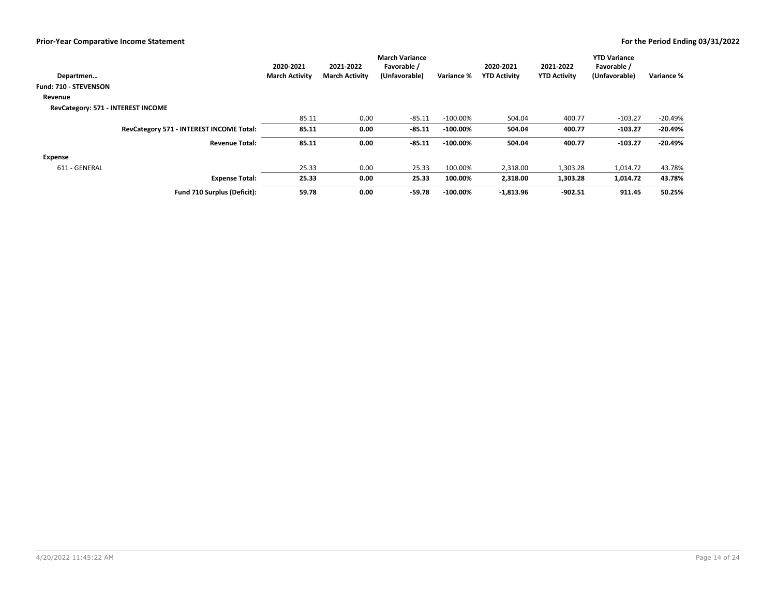|                                    |                                          | 2020-2021             | 2021-2022             | <b>March Variance</b><br>Favorable / |             | 2020-2021           | 2021-2022           | <b>YTD Variance</b><br>Favorable / |            |
|------------------------------------|------------------------------------------|-----------------------|-----------------------|--------------------------------------|-------------|---------------------|---------------------|------------------------------------|------------|
| Departmen                          |                                          | <b>March Activity</b> | <b>March Activity</b> | (Unfavorable)                        | Variance %  | <b>YTD Activity</b> | <b>YTD Activity</b> | (Unfavorable)                      | Variance % |
| Fund: 710 - STEVENSON              |                                          |                       |                       |                                      |             |                     |                     |                                    |            |
| Revenue                            |                                          |                       |                       |                                      |             |                     |                     |                                    |            |
| RevCategory: 571 - INTEREST INCOME |                                          |                       |                       |                                      |             |                     |                     |                                    |            |
|                                    |                                          | 85.11                 | 0.00                  | $-85.11$                             | $-100.00\%$ | 504.04              | 400.77              | $-103.27$                          | $-20.49%$  |
|                                    | RevCategory 571 - INTEREST INCOME Total: | 85.11                 | 0.00                  | $-85.11$                             | $-100.00\%$ | 504.04              | 400.77              | $-103.27$                          | $-20.49%$  |
|                                    | <b>Revenue Total:</b>                    | 85.11                 | 0.00                  | $-85.11$                             | $-100.00\%$ | 504.04              | 400.77              | $-103.27$                          | $-20.49%$  |
| <b>Expense</b>                     |                                          |                       |                       |                                      |             |                     |                     |                                    |            |
| 611 - GENERAL                      |                                          | 25.33                 | 0.00                  | 25.33                                | 100.00%     | 2,318.00            | 1,303.28            | 1,014.72                           | 43.78%     |
|                                    | <b>Expense Total:</b>                    | 25.33                 | 0.00                  | 25.33                                | 100.00%     | 2,318.00            | 1,303.28            | 1,014.72                           | 43.78%     |
|                                    | Fund 710 Surplus (Deficit):              | 59.78                 | 0.00                  | $-59.78$                             | $-100.00\%$ | $-1,813.96$         | $-902.51$           | 911.45                             | 50.25%     |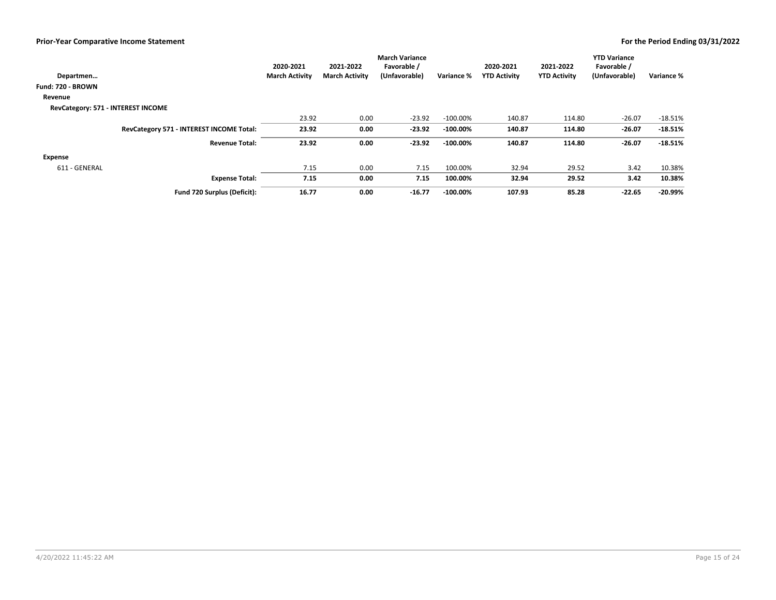|                                    |                                          | 2020-2021             | 2021-2022             | <b>March Variance</b><br>Favorable / |             | 2020-2021           | 2021-2022           | <b>YTD Variance</b><br>Favorable / |            |
|------------------------------------|------------------------------------------|-----------------------|-----------------------|--------------------------------------|-------------|---------------------|---------------------|------------------------------------|------------|
| Departmen                          |                                          | <b>March Activity</b> | <b>March Activity</b> | (Unfavorable)                        | Variance %  | <b>YTD Activity</b> | <b>YTD Activity</b> | (Unfavorable)                      | Variance % |
| Fund: 720 - BROWN                  |                                          |                       |                       |                                      |             |                     |                     |                                    |            |
| Revenue                            |                                          |                       |                       |                                      |             |                     |                     |                                    |            |
| RevCategory: 571 - INTEREST INCOME |                                          |                       |                       |                                      |             |                     |                     |                                    |            |
|                                    |                                          | 23.92                 | 0.00                  | $-23.92$                             | $-100.00\%$ | 140.87              | 114.80              | $-26.07$                           | $-18.51%$  |
|                                    | RevCategory 571 - INTEREST INCOME Total: | 23.92                 | 0.00                  | $-23.92$                             | $-100.00\%$ | 140.87              | 114.80              | $-26.07$                           | $-18.51%$  |
|                                    | <b>Revenue Total:</b>                    | 23.92                 | 0.00                  | $-23.92$                             | $-100.00\%$ | 140.87              | 114.80              | $-26.07$                           | $-18.51%$  |
| <b>Expense</b>                     |                                          |                       |                       |                                      |             |                     |                     |                                    |            |
| 611 - GENERAL                      |                                          | 7.15                  | 0.00                  | 7.15                                 | 100.00%     | 32.94               | 29.52               | 3.42                               | 10.38%     |
|                                    | <b>Expense Total:</b>                    | 7.15                  | 0.00                  | 7.15                                 | 100.00%     | 32.94               | 29.52               | 3.42                               | 10.38%     |
|                                    | Fund 720 Surplus (Deficit):              | 16.77                 | 0.00                  | $-16.77$                             | $-100.00\%$ | 107.93              | 85.28               | $-22.65$                           | $-20.99%$  |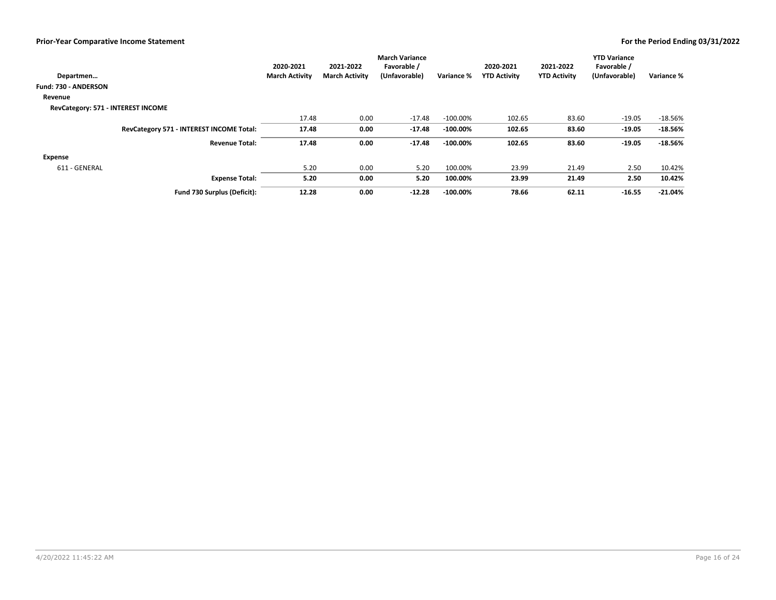|                                    |                                          | 2020-2021             | 2021-2022             | <b>March Variance</b><br>Favorable / |             | 2020-2021           | 2021-2022           | <b>YTD Variance</b><br>Favorable / |            |
|------------------------------------|------------------------------------------|-----------------------|-----------------------|--------------------------------------|-------------|---------------------|---------------------|------------------------------------|------------|
| Departmen                          |                                          | <b>March Activity</b> | <b>March Activity</b> | (Unfavorable)                        | Variance %  | <b>YTD Activity</b> | <b>YTD Activity</b> | (Unfavorable)                      | Variance % |
| Fund: 730 - ANDERSON               |                                          |                       |                       |                                      |             |                     |                     |                                    |            |
| Revenue                            |                                          |                       |                       |                                      |             |                     |                     |                                    |            |
| RevCategory: 571 - INTEREST INCOME |                                          |                       |                       |                                      |             |                     |                     |                                    |            |
|                                    |                                          | 17.48                 | 0.00                  | $-17.48$                             | $-100.00\%$ | 102.65              | 83.60               | $-19.05$                           | $-18.56%$  |
|                                    | RevCategory 571 - INTEREST INCOME Total: | 17.48                 | 0.00                  | $-17.48$                             | $-100.00\%$ | 102.65              | 83.60               | $-19.05$                           | $-18.56%$  |
|                                    | <b>Revenue Total:</b>                    | 17.48                 | 0.00                  | $-17.48$                             | $-100.00\%$ | 102.65              | 83.60               | $-19.05$<br>2.50<br>$-16.55$       | $-18.56%$  |
| <b>Expense</b>                     |                                          |                       |                       |                                      |             |                     |                     |                                    |            |
| 611 - GENERAL                      |                                          | 5.20                  | 0.00                  | 5.20                                 | 100.00%     | 23.99               | 21.49               | 2.50                               | 10.42%     |
|                                    | <b>Expense Total:</b>                    | 5.20                  | 0.00                  | 5.20                                 | 100.00%     | 23.99               | 21.49               |                                    | 10.42%     |
|                                    | Fund 730 Surplus (Deficit):              | 12.28                 | 0.00                  | $-12.28$                             | $-100.00\%$ | 78.66               | 62.11               |                                    | $-21.04%$  |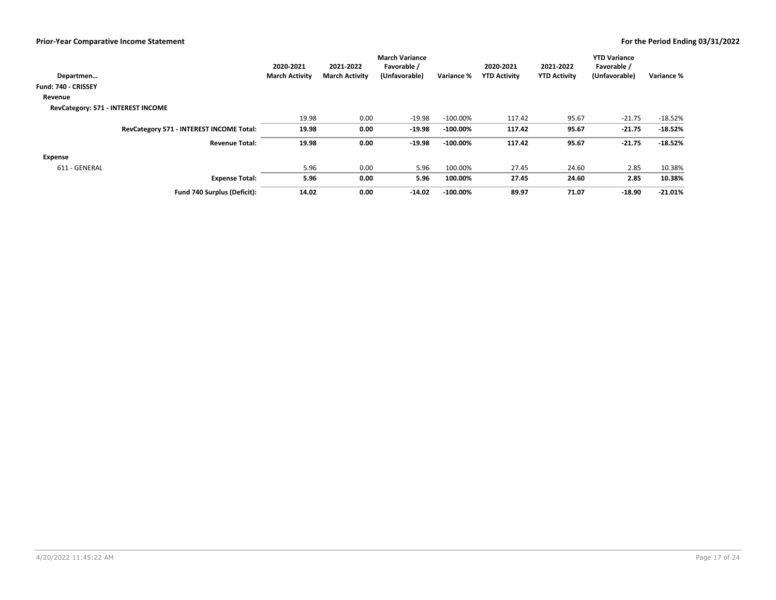|                                    |                                          | 2020-2021             | 2021-2022             | <b>March Variance</b><br>Favorable / |             | 2020-2021           | 2021-2022           | <b>YTD Variance</b><br>Favorable /   |            |
|------------------------------------|------------------------------------------|-----------------------|-----------------------|--------------------------------------|-------------|---------------------|---------------------|--------------------------------------|------------|
| Departmen                          |                                          | <b>March Activity</b> | <b>March Activity</b> | (Unfavorable)                        | Variance %  | <b>YTD Activity</b> | <b>YTD Activity</b> | (Unfavorable)                        | Variance % |
| Fund: 740 - CRISSEY                |                                          |                       |                       |                                      |             |                     |                     |                                      |            |
| Revenue                            |                                          |                       |                       |                                      |             |                     |                     |                                      |            |
| RevCategory: 571 - INTEREST INCOME |                                          |                       |                       |                                      |             |                     |                     |                                      |            |
|                                    |                                          | 19.98                 | 0.00                  | $-19.98$                             | $-100.00\%$ | 117.42              | 95.67               | $-21.75$                             | $-18.52%$  |
|                                    | RevCategory 571 - INTEREST INCOME Total: | 19.98                 | 0.00                  | $-19.98$                             | $-100.00\%$ | 117.42              | 95.67               | $-21.75$                             | $-18.52%$  |
|                                    | <b>Revenue Total:</b>                    | 19.98                 | 0.00                  | $-19.98$                             | $-100.00\%$ | 117.42              | 95.67               | $-21.75$<br>2.85<br>2.85<br>$-18.90$ | $-18.52%$  |
| <b>Expense</b>                     |                                          |                       |                       |                                      |             |                     |                     |                                      |            |
| 611 - GENERAL                      |                                          | 5.96                  | 0.00                  | 5.96                                 | 100.00%     | 27.45               | 24.60               |                                      | 10.38%     |
|                                    | <b>Expense Total:</b>                    | 5.96                  | 0.00                  | 5.96                                 | 100.00%     | 27.45               | 24.60               |                                      | 10.38%     |
|                                    | Fund 740 Surplus (Deficit):              | 14.02                 | 0.00                  | $-14.02$                             | $-100.00\%$ | 89.97               | 71.07               |                                      | $-21.01%$  |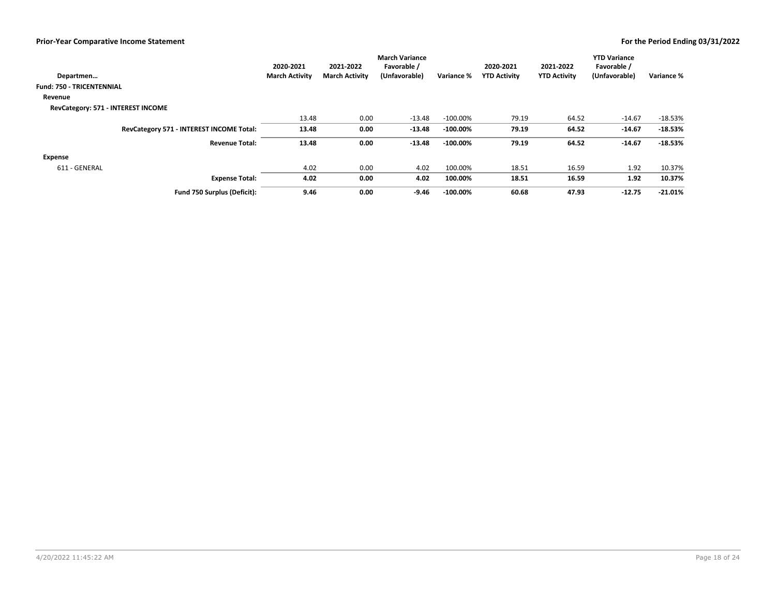|                                          | 2020-2021             | 2021-2022             | <b>March Variance</b><br>Favorable / |             | 2020-2021           | 2021-2022           | <b>YTD Variance</b><br>Favorable /   |            |
|------------------------------------------|-----------------------|-----------------------|--------------------------------------|-------------|---------------------|---------------------|--------------------------------------|------------|
| Departmen                                | <b>March Activity</b> | <b>March Activity</b> | (Unfavorable)                        | Variance %  | <b>YTD Activity</b> | <b>YTD Activity</b> | (Unfavorable)                        | Variance % |
| <b>Fund: 750 - TRICENTENNIAL</b>         |                       |                       |                                      |             |                     |                     |                                      |            |
| Revenue                                  |                       |                       |                                      |             |                     |                     |                                      |            |
| RevCategory: 571 - INTEREST INCOME       |                       |                       |                                      |             |                     |                     |                                      |            |
|                                          | 13.48                 | 0.00                  | $-13.48$                             | $-100.00\%$ | 79.19               | 64.52               | $-14.67$                             | $-18.53%$  |
| RevCategory 571 - INTEREST INCOME Total: | 13.48                 | 0.00                  | $-13.48$                             | $-100.00\%$ | 79.19               | 64.52               | $-14.67$                             | $-18.53%$  |
| <b>Revenue Total:</b>                    | 13.48                 | 0.00                  | $-13.48$                             | $-100.00\%$ | 79.19               | 64.52               | $-14.67$<br>1.92<br>1.92<br>$-12.75$ | $-18.53%$  |
| <b>Expense</b>                           |                       |                       |                                      |             |                     |                     |                                      |            |
| 611 - GENERAL                            | 4.02                  | 0.00                  | 4.02                                 | 100.00%     | 18.51               | 16.59               |                                      | 10.37%     |
| <b>Expense Total:</b>                    | 4.02                  | 0.00                  | 4.02                                 | 100.00%     | 18.51               | 16.59               |                                      | 10.37%     |
| Fund 750 Surplus (Deficit):              | 9.46                  | 0.00                  | $-9.46$                              | $-100.00\%$ | 60.68               | 47.93               |                                      | $-21.01%$  |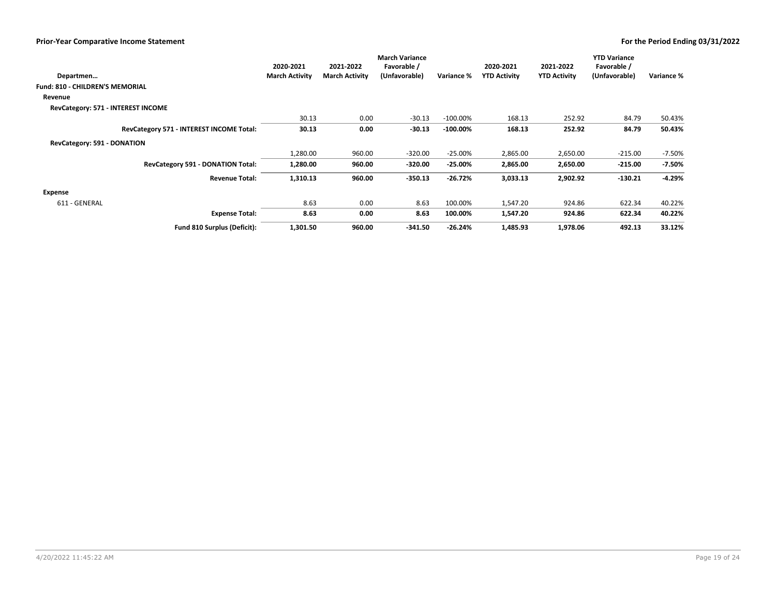|                                          | 2020-2021             | 2021-2022             | <b>March Variance</b><br>Favorable / |             | 2020-2021           | 2021-2022           | <b>YTD Variance</b><br>Favorable / |            |
|------------------------------------------|-----------------------|-----------------------|--------------------------------------|-------------|---------------------|---------------------|------------------------------------|------------|
| Departmen                                | <b>March Activity</b> | <b>March Activity</b> | (Unfavorable)                        | Variance %  | <b>YTD Activity</b> | <b>YTD Activity</b> | (Unfavorable)                      | Variance % |
| <b>Fund: 810 - CHILDREN'S MEMORIAL</b>   |                       |                       |                                      |             |                     |                     |                                    |            |
| Revenue                                  |                       |                       |                                      |             |                     |                     |                                    |            |
| RevCategory: 571 - INTEREST INCOME       |                       |                       |                                      |             |                     |                     |                                    |            |
|                                          | 30.13                 | 0.00                  | $-30.13$                             | $-100.00\%$ | 168.13              | 252.92              | 84.79                              | 50.43%     |
| RevCategory 571 - INTEREST INCOME Total: | 30.13                 | 0.00                  | $-30.13$                             | $-100.00\%$ | 168.13              | 252.92              | 84.79                              | 50.43%     |
| RevCategory: 591 - DONATION              |                       |                       |                                      |             |                     |                     |                                    |            |
|                                          | 1,280.00              | 960.00                | $-320.00$                            | $-25.00%$   | 2,865.00            | 2,650.00            | $-215.00$                          | $-7.50%$   |
| RevCategory 591 - DONATION Total:        | 1,280.00              | 960.00                | $-320.00$                            | $-25.00%$   | 2,865.00            | 2,650.00            | $-215.00$                          | $-7.50%$   |
| <b>Revenue Total:</b>                    | 1,310.13              | 960.00                | $-350.13$                            | $-26.72%$   | 3,033.13            | 2,902.92            | $-130.21$                          | $-4.29%$   |
| Expense                                  |                       |                       |                                      |             |                     |                     |                                    |            |
| 611 - GENERAL                            | 8.63                  | 0.00                  | 8.63                                 | 100.00%     | 1,547.20            | 924.86              | 622.34                             | 40.22%     |
| <b>Expense Total:</b>                    | 8.63                  | 0.00                  | 8.63                                 | 100.00%     | 1,547.20            | 924.86              | 622.34                             | 40.22%     |
| Fund 810 Surplus (Deficit):              | 1,301.50              | 960.00                | $-341.50$                            | $-26.24%$   | 1,485.93            | 1,978.06            | 492.13                             | 33.12%     |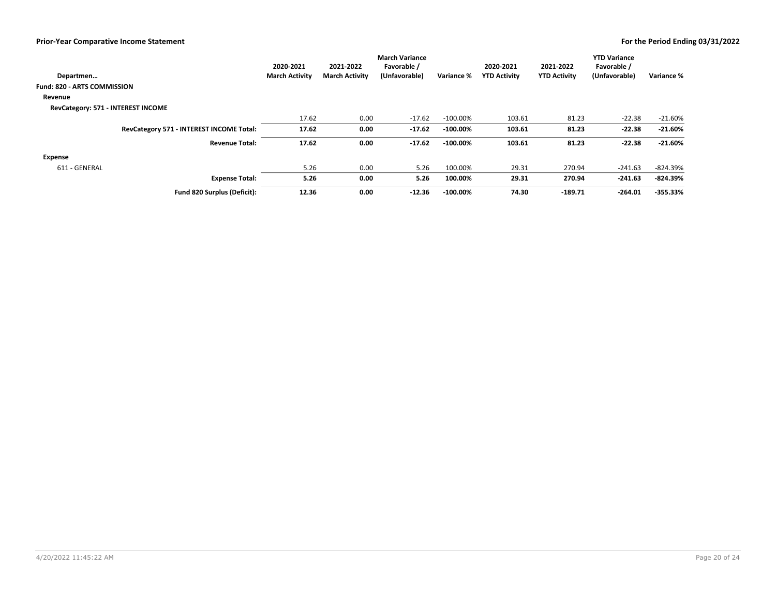|                                          | 2020-2021             | 2021-2022             | <b>March Variance</b><br>Favorable / |             | 2020-2021           | 2021-2022           | <b>YTD Variance</b><br>Favorable / |            |
|------------------------------------------|-----------------------|-----------------------|--------------------------------------|-------------|---------------------|---------------------|------------------------------------|------------|
| Departmen                                | <b>March Activity</b> | <b>March Activity</b> | (Unfavorable)                        | Variance %  | <b>YTD Activity</b> | <b>YTD Activity</b> | (Unfavorable)                      | Variance % |
| <b>Fund: 820 - ARTS COMMISSION</b>       |                       |                       |                                      |             |                     |                     |                                    |            |
| Revenue                                  |                       |                       |                                      |             |                     |                     |                                    |            |
| RevCategory: 571 - INTEREST INCOME       |                       |                       |                                      |             |                     |                     |                                    |            |
|                                          | 17.62                 | 0.00                  | $-17.62$                             | $-100.00\%$ | 103.61              | 81.23               | $-22.38$                           | $-21.60%$  |
| RevCategory 571 - INTEREST INCOME Total: | 17.62                 | 0.00                  | $-17.62$                             | $-100.00\%$ | 103.61              | 81.23               | $-22.38$                           | $-21.60%$  |
| <b>Revenue Total:</b>                    | 17.62                 | 0.00                  | $-17.62$                             | $-100.00\%$ | 103.61              | 81.23               | $-22.38$<br>$-241.63$<br>$-264.01$ | $-21.60%$  |
| <b>Expense</b>                           |                       |                       |                                      |             |                     |                     |                                    |            |
| 611 - GENERAL                            | 5.26                  | 0.00                  | 5.26                                 | 100.00%     | 29.31               | 270.94              |                                    | -824.39%   |
| <b>Expense Total:</b>                    | 5.26                  | 0.00                  | 5.26                                 | 100.00%     | 29.31               | 270.94              | $-241.63$                          | $-824.39%$ |
| Fund 820 Surplus (Deficit):              | 12.36                 | 0.00                  | $-12.36$                             | $-100.00\%$ | 74.30               | $-189.71$           |                                    | $-355.33%$ |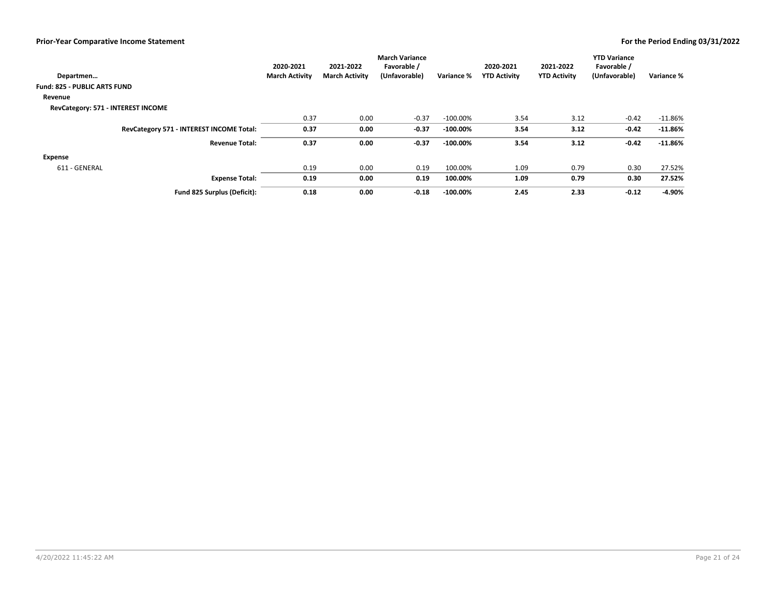|                                          | 2020-2021             | 2021-2022             | <b>March Variance</b><br>Favorable / |             | 2020-2021           | 2021-2022           | <b>YTD Variance</b><br>Favorable / |            |
|------------------------------------------|-----------------------|-----------------------|--------------------------------------|-------------|---------------------|---------------------|------------------------------------|------------|
| Departmen                                | <b>March Activity</b> | <b>March Activity</b> | (Unfavorable)                        | Variance %  | <b>YTD Activity</b> | <b>YTD Activity</b> | (Unfavorable)                      | Variance % |
| <b>Fund: 825 - PUBLIC ARTS FUND</b>      |                       |                       |                                      |             |                     |                     |                                    |            |
| Revenue                                  |                       |                       |                                      |             |                     |                     |                                    |            |
| RevCategory: 571 - INTEREST INCOME       |                       |                       |                                      |             |                     |                     |                                    |            |
|                                          | 0.37                  | 0.00                  | $-0.37$                              | $-100.00\%$ | 3.54                | 3.12                | $-0.42$                            | $-11.86\%$ |
| RevCategory 571 - INTEREST INCOME Total: | 0.37                  | 0.00                  | $-0.37$                              | $-100.00\%$ | 3.54                | 3.12                | $-0.42$                            | $-11.86\%$ |
| <b>Revenue Total:</b>                    | 0.37                  | 0.00                  | $-0.37$                              | $-100.00\%$ | 3.54                | 3.12                | $-0.42$                            | $-11.86%$  |
| <b>Expense</b>                           |                       |                       |                                      |             |                     |                     |                                    |            |
| 611 - GENERAL                            | 0.19                  | 0.00                  | 0.19                                 | 100.00%     | 1.09                | 0.79                | 0.30                               | 27.52%     |
| <b>Expense Total:</b>                    | 0.19                  | 0.00                  | 0.19                                 | 100.00%     | 1.09                | 0.79                | 0.30                               | 27.52%     |
| Fund 825 Surplus (Deficit):              | 0.18                  | 0.00                  | $-0.18$                              | $-100.00\%$ | 2.45                | 2.33                | $-0.12$                            | -4.90%     |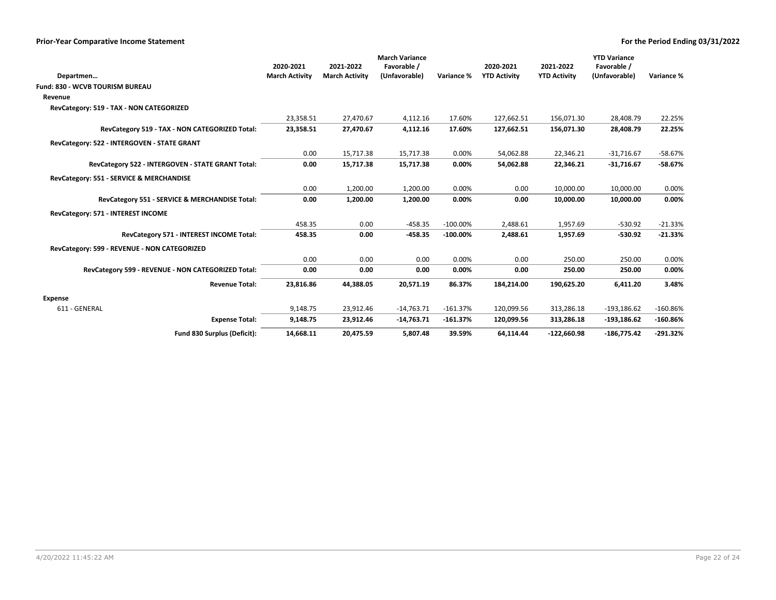|                                                    |                       |                       | <b>March Variance</b> |             |                     |                     | <b>YTD Variance</b> |            |
|----------------------------------------------------|-----------------------|-----------------------|-----------------------|-------------|---------------------|---------------------|---------------------|------------|
|                                                    | 2020-2021             | 2021-2022             | Favorable /           |             | 2020-2021           | 2021-2022           | Favorable /         |            |
| Departmen                                          | <b>March Activity</b> | <b>March Activity</b> | (Unfavorable)         | Variance %  | <b>YTD Activity</b> | <b>YTD Activity</b> | (Unfavorable)       | Variance % |
| Fund: 830 - WCVB TOURISM BUREAU                    |                       |                       |                       |             |                     |                     |                     |            |
| Revenue                                            |                       |                       |                       |             |                     |                     |                     |            |
| RevCategory: 519 - TAX - NON CATEGORIZED           |                       |                       |                       |             |                     |                     |                     |            |
|                                                    | 23,358.51             | 27,470.67             | 4,112.16              | 17.60%      | 127,662.51          | 156,071.30          | 28,408.79           | 22.25%     |
| RevCategory 519 - TAX - NON CATEGORIZED Total:     | 23,358.51             | 27,470.67             | 4,112.16              | 17.60%      | 127,662.51          | 156,071.30          | 28,408.79           | 22.25%     |
| RevCategory: 522 - INTERGOVEN - STATE GRANT        |                       |                       |                       |             |                     |                     |                     |            |
|                                                    | 0.00                  | 15,717.38             | 15,717.38             | 0.00%       | 54,062.88           | 22,346.21           | $-31,716.67$        | $-58.67%$  |
| RevCategory 522 - INTERGOVEN - STATE GRANT Total:  | 0.00                  | 15,717.38             | 15,717.38             | 0.00%       | 54,062.88           | 22,346.21           | $-31,716.67$        | $-58.67%$  |
| RevCategory: 551 - SERVICE & MERCHANDISE           |                       |                       |                       |             |                     |                     |                     |            |
|                                                    | 0.00                  | 1,200.00              | 1,200.00              | 0.00%       | 0.00                | 10,000.00           | 10,000.00           | 0.00%      |
| RevCategory 551 - SERVICE & MERCHANDISE Total:     | 0.00                  | 1,200.00              | 1,200.00              | 0.00%       | 0.00                | 10,000.00           | 10,000.00           | 0.00%      |
| RevCategory: 571 - INTEREST INCOME                 |                       |                       |                       |             |                     |                     |                     |            |
|                                                    | 458.35                | 0.00                  | $-458.35$             | $-100.00\%$ | 2,488.61            | 1,957.69            | $-530.92$           | $-21.33%$  |
| RevCategory 571 - INTEREST INCOME Total:           | 458.35                | 0.00                  | $-458.35$             | $-100.00\%$ | 2,488.61            | 1,957.69            | $-530.92$           | $-21.33%$  |
| RevCategory: 599 - REVENUE - NON CATEGORIZED       |                       |                       |                       |             |                     |                     |                     |            |
|                                                    | 0.00                  | 0.00                  | 0.00                  | 0.00%       | 0.00                | 250.00              | 250.00              | 0.00%      |
| RevCategory 599 - REVENUE - NON CATEGORIZED Total: | 0.00                  | 0.00                  | 0.00                  | 0.00%       | 0.00                | 250.00              | 250.00              | 0.00%      |
| <b>Revenue Total:</b>                              | 23,816.86             | 44,388.05             | 20,571.19             | 86.37%      | 184,214.00          | 190.625.20          | 6.411.20            | 3.48%      |
| <b>Expense</b>                                     |                       |                       |                       |             |                     |                     |                     |            |
| 611 - GENERAL                                      | 9,148.75              | 23,912.46             | $-14,763.71$          | $-161.37%$  | 120,099.56          | 313,286.18          | $-193,186.62$       | $-160.86%$ |
| <b>Expense Total:</b>                              | 9,148.75              | 23,912.46             | $-14,763.71$          | $-161.37%$  | 120,099.56          | 313,286.18          | $-193,186.62$       | $-160.86%$ |
| Fund 830 Surplus (Deficit):                        | 14,668.11             | 20,475.59             | 5,807.48              | 39.59%      | 64,114.44           | $-122,660.98$       | $-186,775.42$       | $-291.32%$ |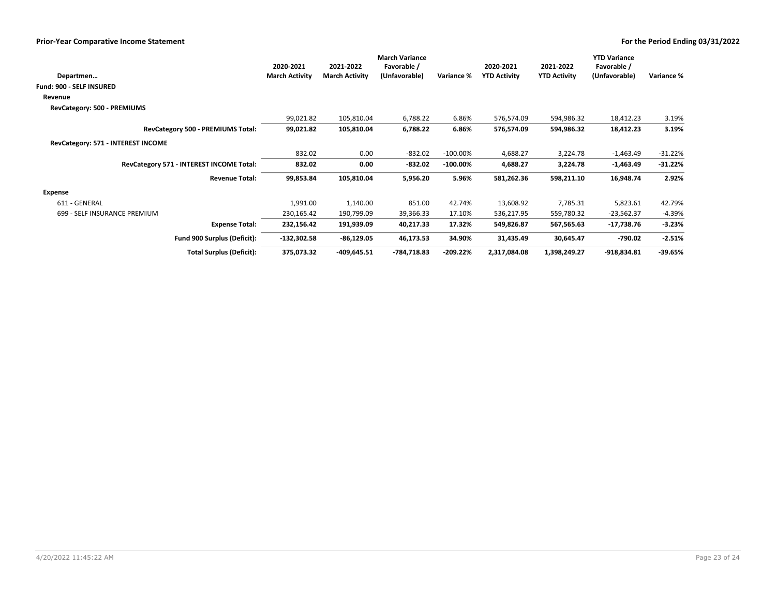|                                          | 2020-2021             | 2021-2022             | <b>March Variance</b><br>Favorable / |             | 2020-2021           | 2021-2022           | <b>YTD Variance</b><br>Favorable / |            |
|------------------------------------------|-----------------------|-----------------------|--------------------------------------|-------------|---------------------|---------------------|------------------------------------|------------|
| Departmen                                | <b>March Activity</b> | <b>March Activity</b> | (Unfavorable)                        | Variance %  | <b>YTD Activity</b> | <b>YTD Activity</b> |                                    | Variance % |
| <b>Fund: 900 - SELF INSURED</b>          |                       |                       |                                      |             |                     |                     |                                    |            |
| Revenue                                  |                       |                       |                                      |             |                     |                     |                                    |            |
| RevCategory: 500 - PREMIUMS              |                       |                       |                                      |             |                     |                     |                                    |            |
|                                          | 99,021.82             | 105,810.04            | 6,788.22                             | 6.86%       | 576,574.09          | 594,986.32          | 18,412.23                          | 3.19%      |
| RevCategory 500 - PREMIUMS Total:        | 99,021.82             | 105,810.04            | 6,788.22                             | 6.86%       | 576,574.09          | 594,986.32          | 18,412.23                          | 3.19%      |
| RevCategory: 571 - INTEREST INCOME       |                       |                       |                                      |             |                     |                     |                                    |            |
|                                          | 832.02                | 0.00                  | $-832.02$                            | $-100.00\%$ | 4,688.27            | 3,224.78            | $-1,463.49$                        | $-31.22%$  |
| RevCategory 571 - INTEREST INCOME Total: | 832.02                | 0.00                  | $-832.02$                            | $-100.00\%$ | 4,688.27            | 3,224.78            | $-1,463.49$                        | $-31.22%$  |
| <b>Revenue Total:</b>                    | 99,853.84             | 105,810.04            | 5,956.20                             | 5.96%       | 581,262.36          | 598,211.10          | (Unfavorable)<br>16,948.74         | 2.92%      |
| Expense                                  |                       |                       |                                      |             |                     |                     |                                    |            |
| 611 - GENERAL                            | 1,991.00              | 1,140.00              | 851.00                               | 42.74%      | 13,608.92           | 7,785.31            | 5,823.61                           | 42.79%     |
| 699 - SELF INSURANCE PREMIUM             | 230,165.42            | 190,799.09            | 39,366.33                            | 17.10%      | 536,217.95          | 559,780.32          | $-23,562.37$                       | $-4.39%$   |
| <b>Expense Total:</b>                    | 232,156.42            | 191,939.09            | 40,217.33                            | 17.32%      | 549,826.87          | 567,565.63          | -17,738.76                         | $-3.23%$   |
| Fund 900 Surplus (Deficit):              | $-132,302.58$         | $-86,129.05$          | 46,173.53                            | 34.90%      | 31,435.49           | 30,645.47           | -790.02                            | $-2.51%$   |
| <b>Total Surplus (Deficit):</b>          | 375,073.32            | $-409,645.51$         | -784,718.83                          | $-209.22%$  | 2,317,084.08        | 1,398,249.27        | $-918,834.81$                      | $-39.65%$  |